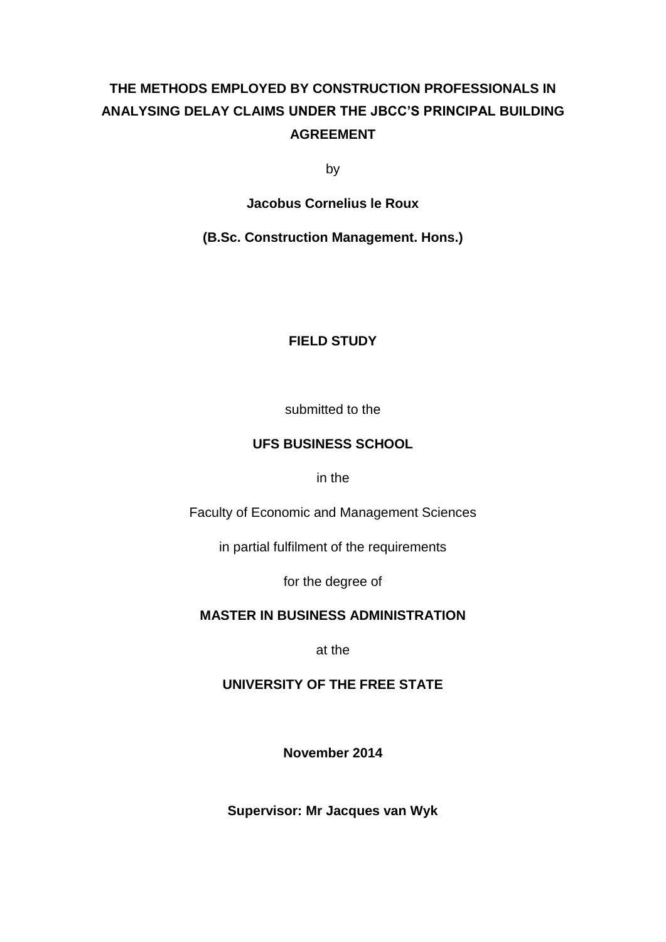# **THE METHODS EMPLOYED BY CONSTRUCTION PROFESSIONALS IN ANALYSING DELAY CLAIMS UNDER THE JBCC'S PRINCIPAL BUILDING AGREEMENT**

by

**Jacobus Cornelius le Roux**

**(B.Sc. Construction Management. Hons.)**

#### **FIELD STUDY**

submitted to the

#### **UFS BUSINESS SCHOOL**

in the

Faculty of Economic and Management Sciences

in partial fulfilment of the requirements

for the degree of

#### **MASTER IN BUSINESS ADMINISTRATION**

at the

#### **UNIVERSITY OF THE FREE STATE**

**November 2014**

**Supervisor: Mr Jacques van Wyk**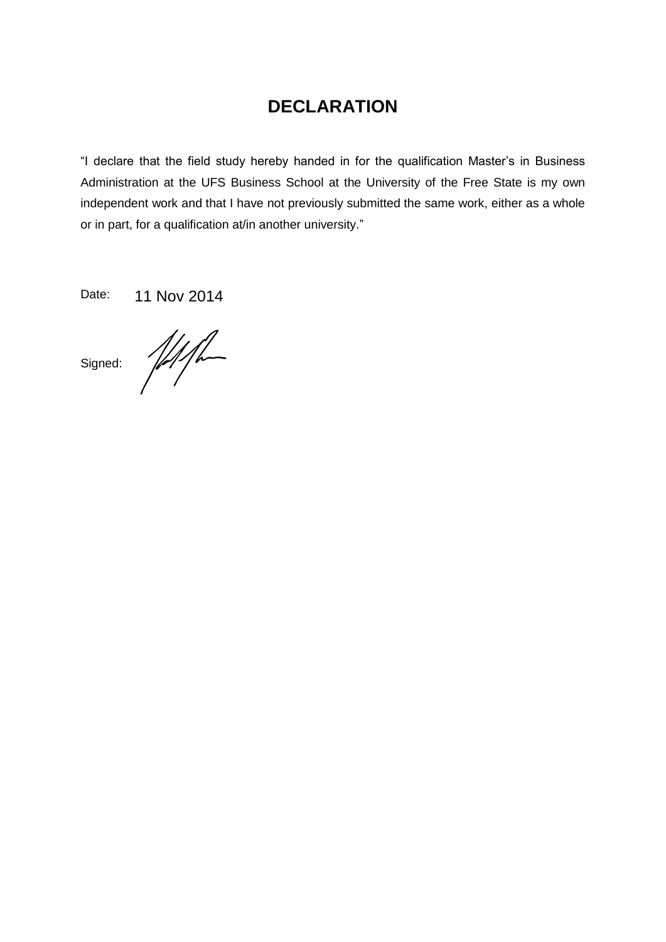# **DECLARATION**

"I declare that the field study hereby handed in for the qualification Master's in Business Administration at the UFS Business School at the University of the Free State is my own independent work and that I have not previously submitted the same work, either as a whole or in part, for a qualification at/in another university."

Date: 11 Nov 2014

 $Signed:$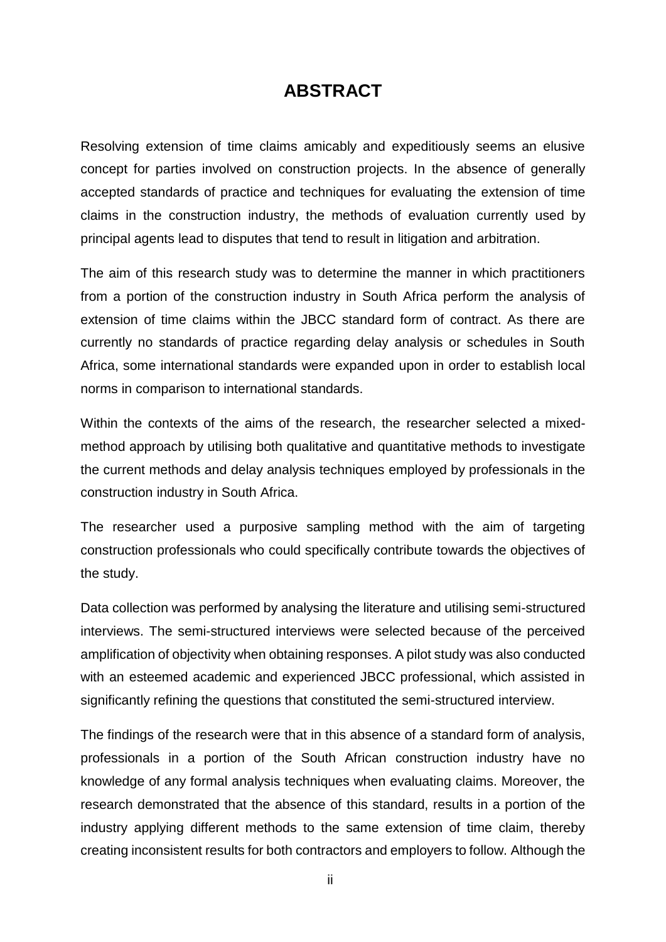## **ABSTRACT**

Resolving extension of time claims amicably and expeditiously seems an elusive concept for parties involved on construction projects. In the absence of generally accepted standards of practice and techniques for evaluating the extension of time claims in the construction industry, the methods of evaluation currently used by principal agents lead to disputes that tend to result in litigation and arbitration.

The aim of this research study was to determine the manner in which practitioners from a portion of the construction industry in South Africa perform the analysis of extension of time claims within the JBCC standard form of contract. As there are currently no standards of practice regarding delay analysis or schedules in South Africa, some international standards were expanded upon in order to establish local norms in comparison to international standards.

Within the contexts of the aims of the research, the researcher selected a mixedmethod approach by utilising both qualitative and quantitative methods to investigate the current methods and delay analysis techniques employed by professionals in the construction industry in South Africa.

The researcher used a purposive sampling method with the aim of targeting construction professionals who could specifically contribute towards the objectives of the study.

Data collection was performed by analysing the literature and utilising semi-structured interviews. The semi-structured interviews were selected because of the perceived amplification of objectivity when obtaining responses. A pilot study was also conducted with an esteemed academic and experienced JBCC professional, which assisted in significantly refining the questions that constituted the semi-structured interview.

The findings of the research were that in this absence of a standard form of analysis, professionals in a portion of the South African construction industry have no knowledge of any formal analysis techniques when evaluating claims. Moreover, the research demonstrated that the absence of this standard, results in a portion of the industry applying different methods to the same extension of time claim, thereby creating inconsistent results for both contractors and employers to follow. Although the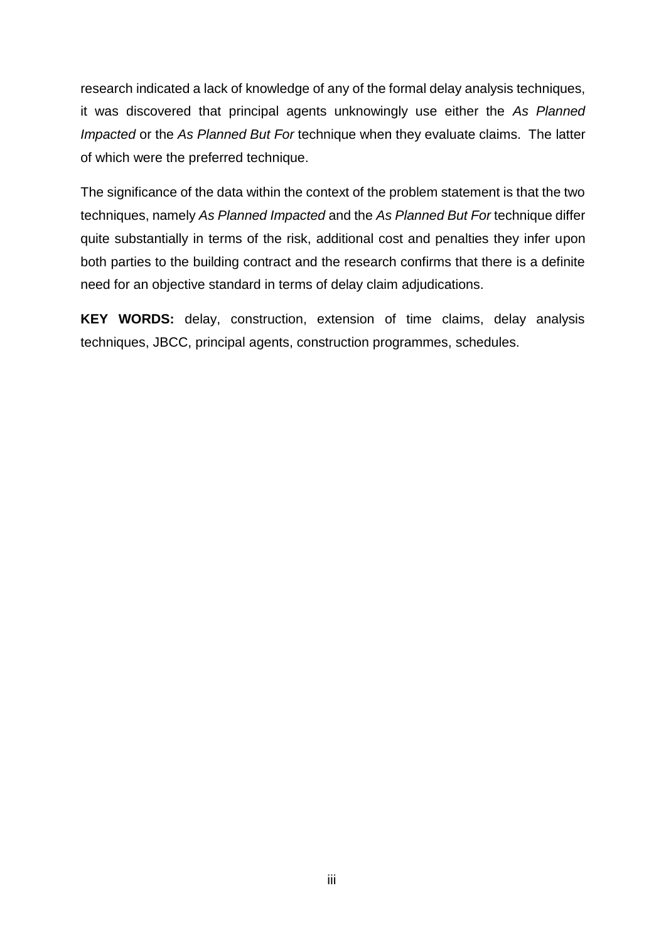research indicated a lack of knowledge of any of the formal delay analysis techniques, it was discovered that principal agents unknowingly use either the *As Planned Impacted* or the *As Planned But For* technique when they evaluate claims. The latter of which were the preferred technique.

The significance of the data within the context of the problem statement is that the two techniques, namely *As Planned Impacted* and the *As Planned But For* technique differ quite substantially in terms of the risk, additional cost and penalties they infer upon both parties to the building contract and the research confirms that there is a definite need for an objective standard in terms of delay claim adjudications.

**KEY WORDS:** delay, construction, extension of time claims, delay analysis techniques, JBCC, principal agents, construction programmes, schedules.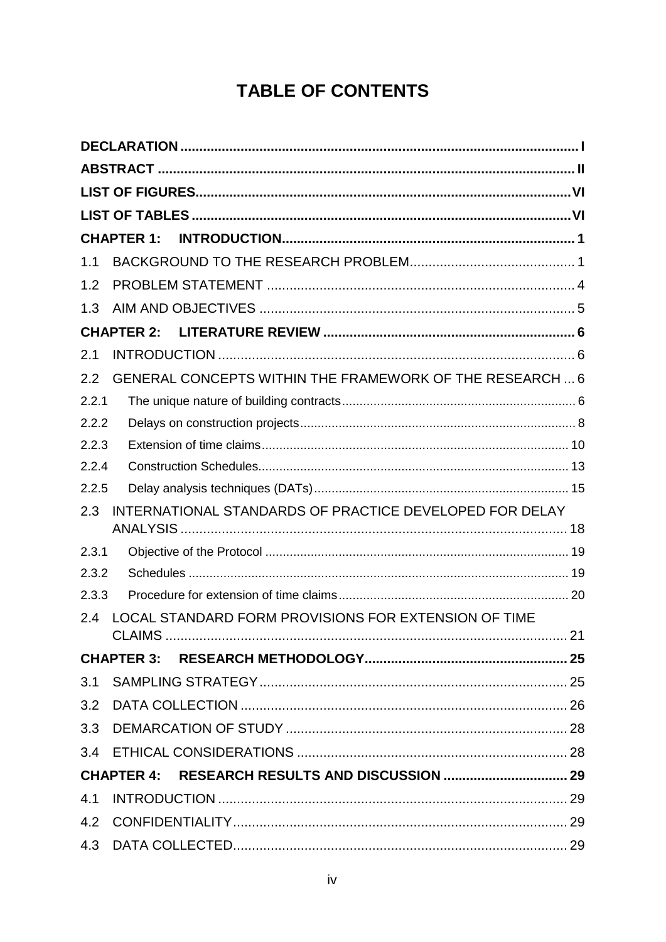# **TABLE OF CONTENTS**

|                | <b>CHAPTER 1:</b>                                        |  |
|----------------|----------------------------------------------------------|--|
| 1.1            |                                                          |  |
| 1.2            |                                                          |  |
| 1.3            |                                                          |  |
|                | <b>CHAPTER 2:</b>                                        |  |
| 2.1            |                                                          |  |
| 2.2            | GENERAL CONCEPTS WITHIN THE FRAMEWORK OF THE RESEARCH  6 |  |
| 2.2.1          |                                                          |  |
| 2.2.2          |                                                          |  |
| 2.2.3          |                                                          |  |
| 2.2.4          |                                                          |  |
| 2.2.5          |                                                          |  |
| 2.3            | INTERNATIONAL STANDARDS OF PRACTICE DEVELOPED FOR DELAY  |  |
|                |                                                          |  |
| 2.3.1<br>2.3.2 |                                                          |  |
| 2.3.3          |                                                          |  |
| 2.4            | LOCAL STANDARD FORM PROVISIONS FOR EXTENSION OF TIME     |  |
|                |                                                          |  |
|                |                                                          |  |
|                |                                                          |  |
|                |                                                          |  |
|                |                                                          |  |
|                |                                                          |  |
|                |                                                          |  |
| 4.1            |                                                          |  |
|                |                                                          |  |
|                |                                                          |  |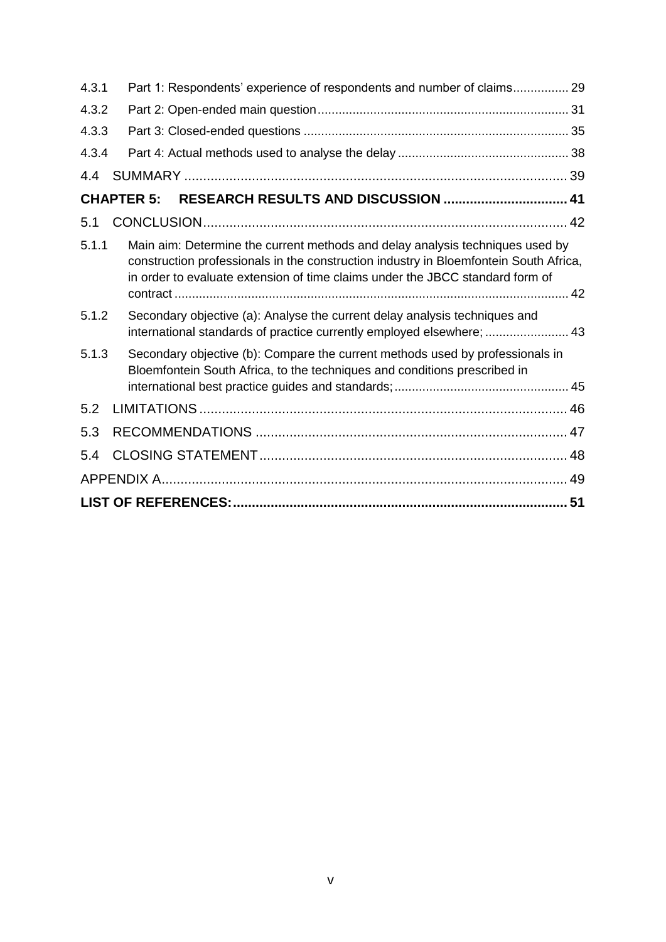| Part 1: Respondents' experience of respondents and number of claims 29<br>4.3.1                                                                                                                                                                                  |  |
|------------------------------------------------------------------------------------------------------------------------------------------------------------------------------------------------------------------------------------------------------------------|--|
| 4.3.2                                                                                                                                                                                                                                                            |  |
| 4.3.3                                                                                                                                                                                                                                                            |  |
| 4.3.4                                                                                                                                                                                                                                                            |  |
| 4.4                                                                                                                                                                                                                                                              |  |
| <b>CHAPTER 5:</b>                                                                                                                                                                                                                                                |  |
| 5.1                                                                                                                                                                                                                                                              |  |
| 5.1.1<br>Main aim: Determine the current methods and delay analysis techniques used by<br>construction professionals in the construction industry in Bloemfontein South Africa,<br>in order to evaluate extension of time claims under the JBCC standard form of |  |
| 5.1.2<br>Secondary objective (a): Analyse the current delay analysis techniques and<br>international standards of practice currently employed elsewhere;  43                                                                                                     |  |
| Secondary objective (b): Compare the current methods used by professionals in<br>5.1.3<br>Bloemfontein South Africa, to the techniques and conditions prescribed in                                                                                              |  |
| 5.2                                                                                                                                                                                                                                                              |  |
| 5.3                                                                                                                                                                                                                                                              |  |
| 5.4                                                                                                                                                                                                                                                              |  |
|                                                                                                                                                                                                                                                                  |  |
|                                                                                                                                                                                                                                                                  |  |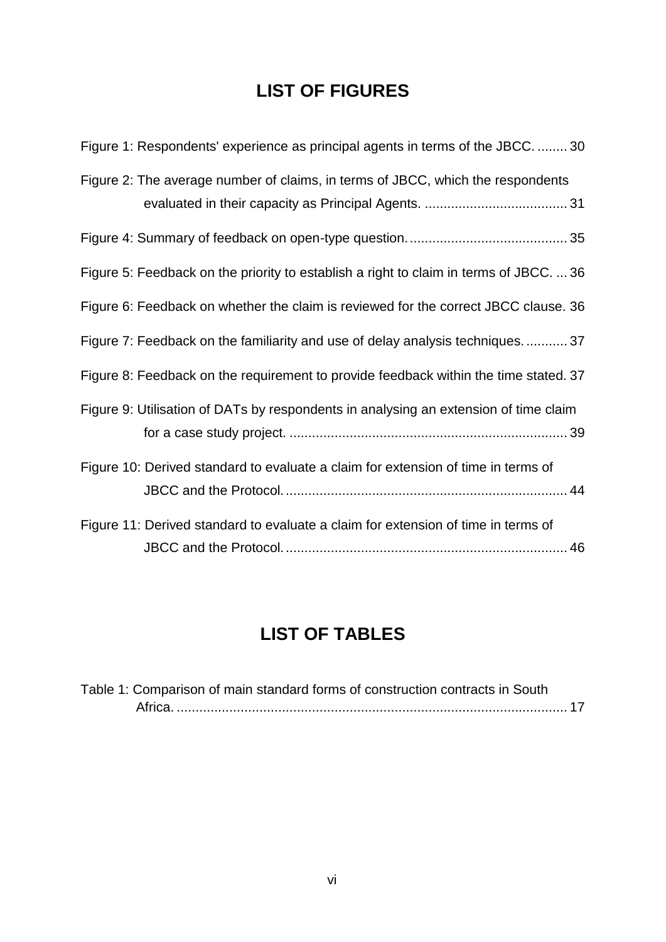# **LIST OF FIGURES**

| Figure 1: Respondents' experience as principal agents in terms of the JBCC.  30        |
|----------------------------------------------------------------------------------------|
| Figure 2: The average number of claims, in terms of JBCC, which the respondents        |
|                                                                                        |
| Figure 5: Feedback on the priority to establish a right to claim in terms of JBCC.  36 |
| Figure 6: Feedback on whether the claim is reviewed for the correct JBCC clause. 36    |
| Figure 7: Feedback on the familiarity and use of delay analysis techniques.  37        |
| Figure 8: Feedback on the requirement to provide feedback within the time stated. 37   |
| Figure 9: Utilisation of DATs by respondents in analysing an extension of time claim   |
| Figure 10: Derived standard to evaluate a claim for extension of time in terms of      |
| Figure 11: Derived standard to evaluate a claim for extension of time in terms of      |

# **LIST OF TABLES**

| Table 1: Comparison of main standard forms of construction contracts in South |  |
|-------------------------------------------------------------------------------|--|
|                                                                               |  |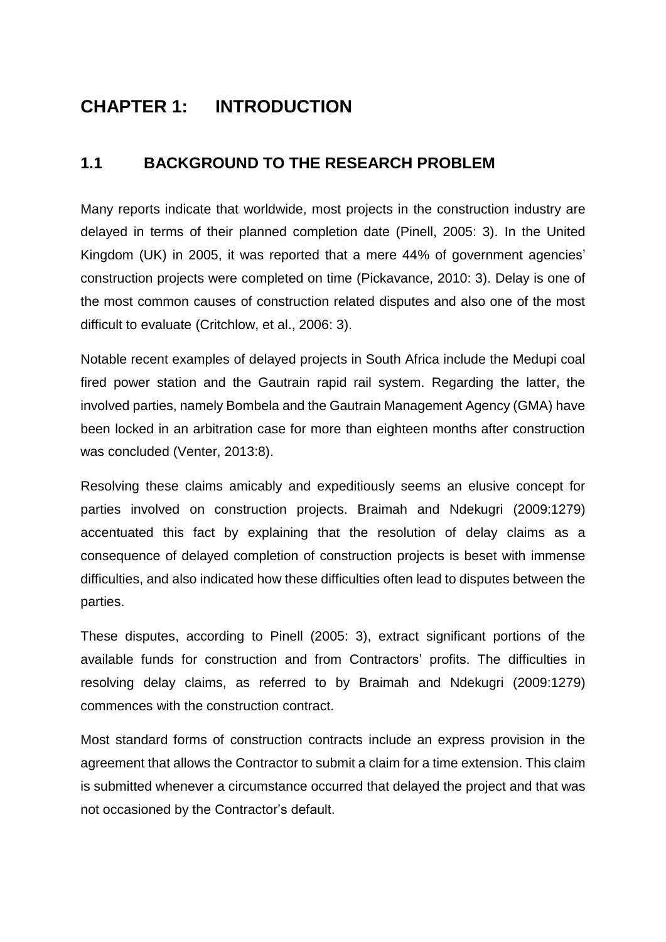# **CHAPTER 1: INTRODUCTION**

## **1.1 BACKGROUND TO THE RESEARCH PROBLEM**

Many reports indicate that worldwide, most projects in the construction industry are delayed in terms of their planned completion date (Pinell, 2005: 3). In the United Kingdom (UK) in 2005, it was reported that a mere 44% of government agencies' construction projects were completed on time (Pickavance, 2010: 3). Delay is one of the most common causes of construction related disputes and also one of the most difficult to evaluate (Critchlow, et al., 2006: 3).

Notable recent examples of delayed projects in South Africa include the Medupi coal fired power station and the Gautrain rapid rail system. Regarding the latter, the involved parties, namely Bombela and the Gautrain Management Agency (GMA) have been locked in an arbitration case for more than eighteen months after construction was concluded (Venter, 2013:8).

Resolving these claims amicably and expeditiously seems an elusive concept for parties involved on construction projects. Braimah and Ndekugri (2009:1279) accentuated this fact by explaining that the resolution of delay claims as a consequence of delayed completion of construction projects is beset with immense difficulties, and also indicated how these difficulties often lead to disputes between the parties.

These disputes, according to Pinell (2005: 3), extract significant portions of the available funds for construction and from Contractors' profits. The difficulties in resolving delay claims, as referred to by Braimah and Ndekugri (2009:1279) commences with the construction contract.

Most standard forms of construction contracts include an express provision in the agreement that allows the Contractor to submit a claim for a time extension. This claim is submitted whenever a circumstance occurred that delayed the project and that was not occasioned by the Contractor's default.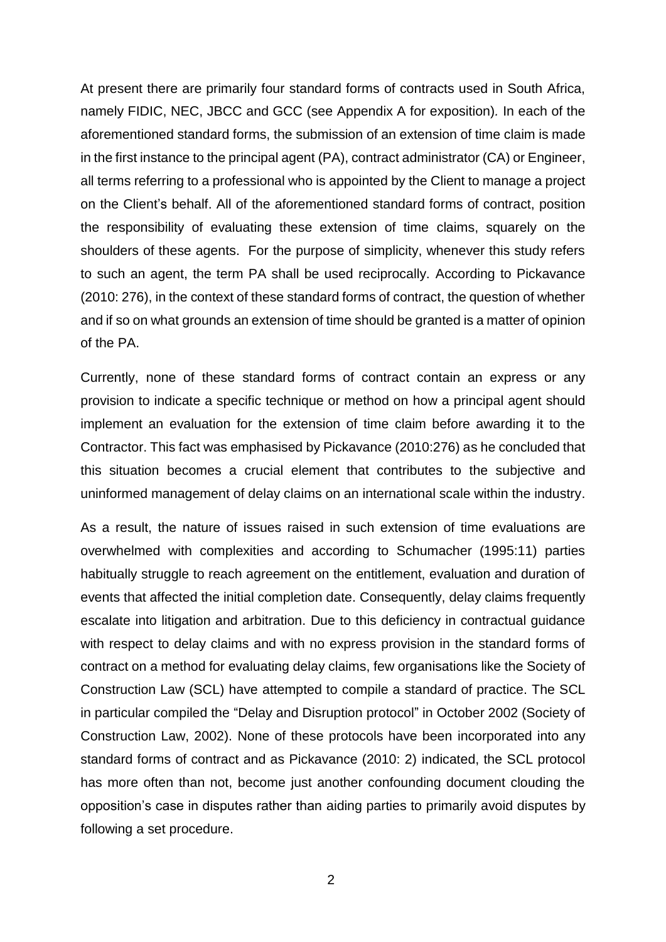At present there are primarily four standard forms of contracts used in South Africa, namely FIDIC, NEC, JBCC and GCC (see Appendix A for exposition)*.* In each of the aforementioned standard forms, the submission of an extension of time claim is made in the first instance to the principal agent (PA), contract administrator (CA) or Engineer, all terms referring to a professional who is appointed by the Client to manage a project on the Client's behalf. All of the aforementioned standard forms of contract, position the responsibility of evaluating these extension of time claims, squarely on the shoulders of these agents. For the purpose of simplicity, whenever this study refers to such an agent, the term PA shall be used reciprocally. According to Pickavance (2010: 276), in the context of these standard forms of contract, the question of whether and if so on what grounds an extension of time should be granted is a matter of opinion of the PA.

Currently, none of these standard forms of contract contain an express or any provision to indicate a specific technique or method on how a principal agent should implement an evaluation for the extension of time claim before awarding it to the Contractor. This fact was emphasised by Pickavance (2010:276) as he concluded that this situation becomes a crucial element that contributes to the subjective and uninformed management of delay claims on an international scale within the industry.

As a result, the nature of issues raised in such extension of time evaluations are overwhelmed with complexities and according to Schumacher (1995:11) parties habitually struggle to reach agreement on the entitlement, evaluation and duration of events that affected the initial completion date. Consequently, delay claims frequently escalate into litigation and arbitration. Due to this deficiency in contractual guidance with respect to delay claims and with no express provision in the standard forms of contract on a method for evaluating delay claims, few organisations like the Society of Construction Law (SCL) have attempted to compile a standard of practice. The SCL in particular compiled the "Delay and Disruption protocol" in October 2002 (Society of Construction Law, 2002). None of these protocols have been incorporated into any standard forms of contract and as Pickavance (2010: 2) indicated, the SCL protocol has more often than not, become just another confounding document clouding the opposition's case in disputes rather than aiding parties to primarily avoid disputes by following a set procedure.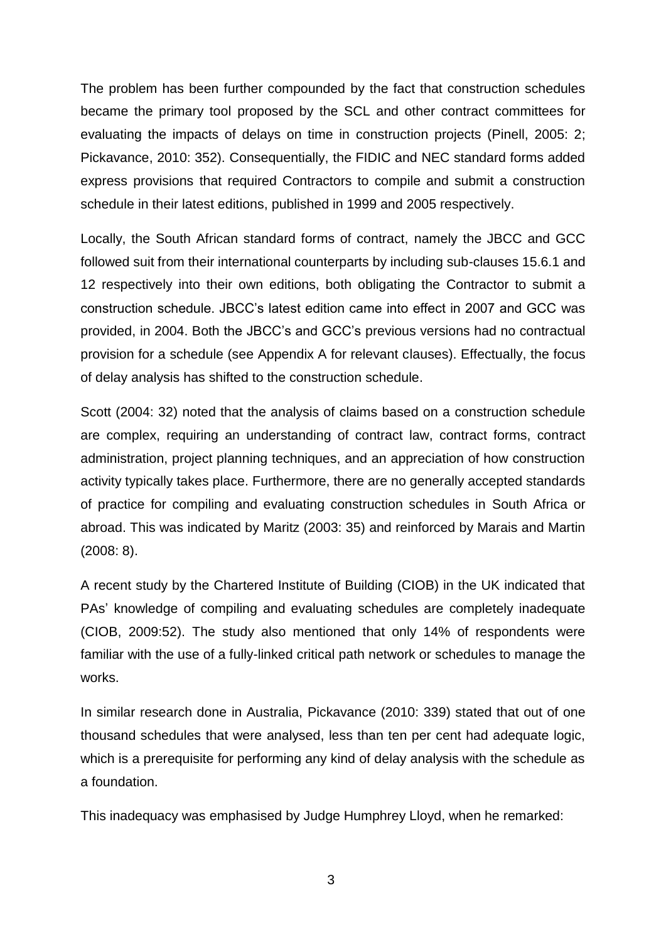The problem has been further compounded by the fact that construction schedules became the primary tool proposed by the SCL and other contract committees for evaluating the impacts of delays on time in construction projects (Pinell, 2005: 2; Pickavance, 2010: 352). Consequentially, the FIDIC and NEC standard forms added express provisions that required Contractors to compile and submit a construction schedule in their latest editions, published in 1999 and 2005 respectively.

Locally, the South African standard forms of contract, namely the JBCC and GCC followed suit from their international counterparts by including sub-clauses 15.6.1 and 12 respectively into their own editions, both obligating the Contractor to submit a construction schedule. JBCC's latest edition came into effect in 2007 and GCC was provided, in 2004. Both the JBCC's and GCC's previous versions had no contractual provision for a schedule (see Appendix A for relevant clauses). Effectually, the focus of delay analysis has shifted to the construction schedule.

Scott (2004: 32) noted that the analysis of claims based on a construction schedule are complex, requiring an understanding of contract law, contract forms, contract administration, project planning techniques, and an appreciation of how construction activity typically takes place. Furthermore, there are no generally accepted standards of practice for compiling and evaluating construction schedules in South Africa or abroad. This was indicated by Maritz (2003: 35) and reinforced by Marais and Martin (2008: 8).

A recent study by the Chartered Institute of Building (CIOB) in the UK indicated that PAs' knowledge of compiling and evaluating schedules are completely inadequate (CIOB, 2009:52). The study also mentioned that only 14% of respondents were familiar with the use of a fully-linked critical path network or schedules to manage the works.

In similar research done in Australia, Pickavance (2010: 339) stated that out of one thousand schedules that were analysed, less than ten per cent had adequate logic, which is a prerequisite for performing any kind of delay analysis with the schedule as a foundation.

This inadequacy was emphasised by Judge Humphrey Lloyd, when he remarked: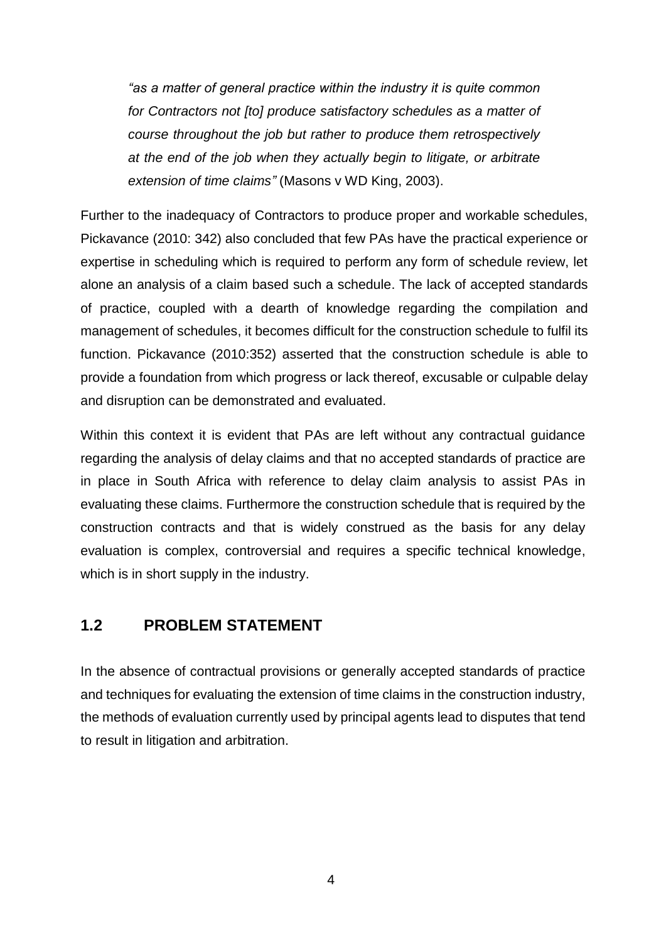*"as a matter of general practice within the industry it is quite common for Contractors not [to] produce satisfactory schedules as a matter of course throughout the job but rather to produce them retrospectively at the end of the job when they actually begin to litigate, or arbitrate extension of time claims"* (Masons v WD King, 2003).

Further to the inadequacy of Contractors to produce proper and workable schedules, Pickavance (2010: 342) also concluded that few PAs have the practical experience or expertise in scheduling which is required to perform any form of schedule review, let alone an analysis of a claim based such a schedule. The lack of accepted standards of practice, coupled with a dearth of knowledge regarding the compilation and management of schedules, it becomes difficult for the construction schedule to fulfil its function. Pickavance (2010:352) asserted that the construction schedule is able to provide a foundation from which progress or lack thereof, excusable or culpable delay and disruption can be demonstrated and evaluated.

Within this context it is evident that PAs are left without any contractual guidance regarding the analysis of delay claims and that no accepted standards of practice are in place in South Africa with reference to delay claim analysis to assist PAs in evaluating these claims. Furthermore the construction schedule that is required by the construction contracts and that is widely construed as the basis for any delay evaluation is complex, controversial and requires a specific technical knowledge, which is in short supply in the industry.

#### **1.2 PROBLEM STATEMENT**

In the absence of contractual provisions or generally accepted standards of practice and techniques for evaluating the extension of time claims in the construction industry, the methods of evaluation currently used by principal agents lead to disputes that tend to result in litigation and arbitration.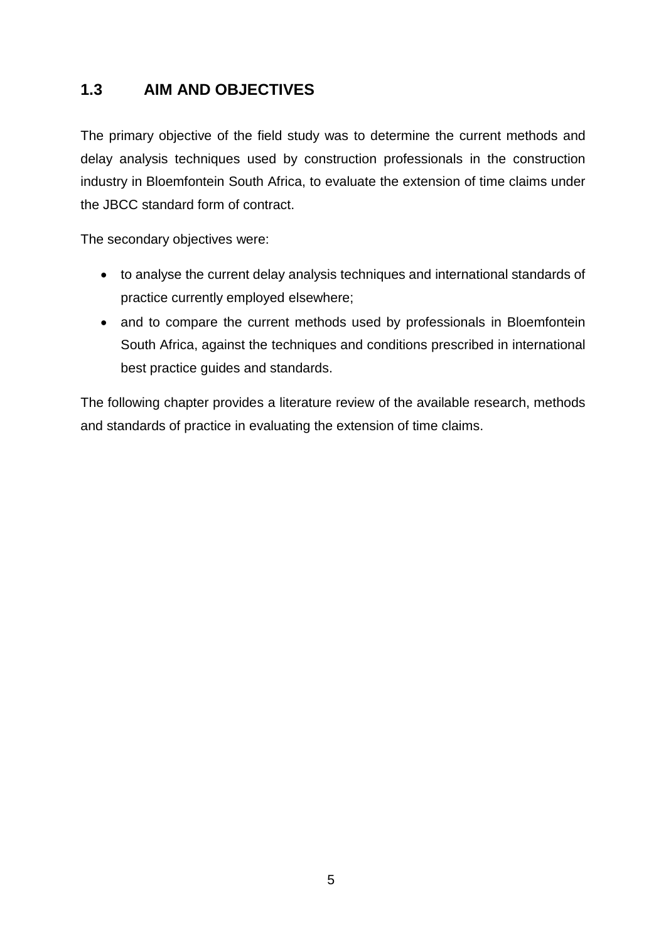## **1.3 AIM AND OBJECTIVES**

The primary objective of the field study was to determine the current methods and delay analysis techniques used by construction professionals in the construction industry in Bloemfontein South Africa, to evaluate the extension of time claims under the JBCC standard form of contract.

The secondary objectives were:

- to analyse the current delay analysis techniques and international standards of practice currently employed elsewhere;
- and to compare the current methods used by professionals in Bloemfontein South Africa, against the techniques and conditions prescribed in international best practice guides and standards.

The following chapter provides a literature review of the available research, methods and standards of practice in evaluating the extension of time claims.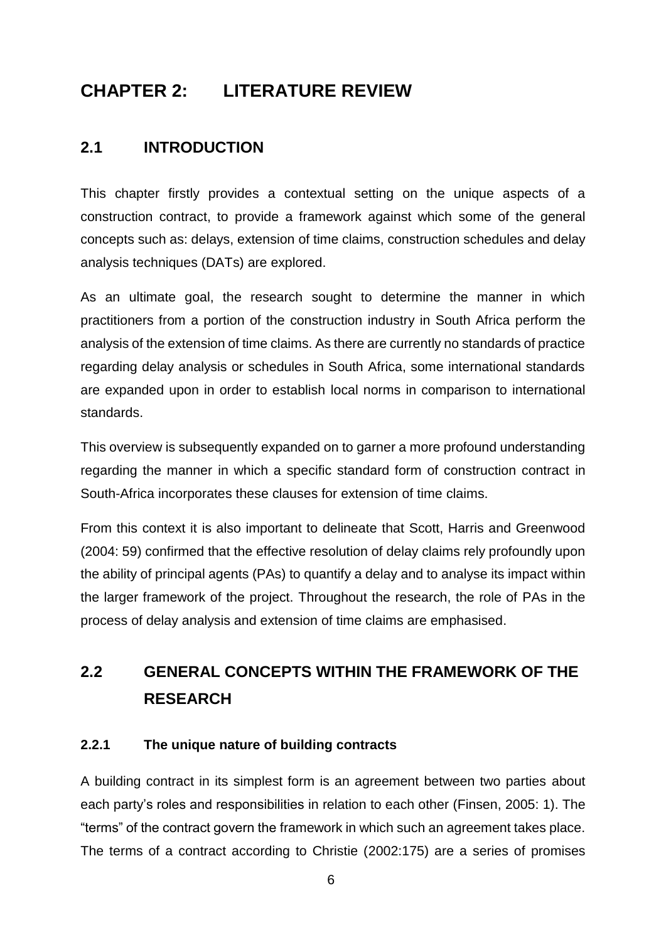# **CHAPTER 2: LITERATURE REVIEW**

## **2.1 INTRODUCTION**

This chapter firstly provides a contextual setting on the unique aspects of a construction contract, to provide a framework against which some of the general concepts such as: delays, extension of time claims, construction schedules and delay analysis techniques (DATs) are explored.

As an ultimate goal, the research sought to determine the manner in which practitioners from a portion of the construction industry in South Africa perform the analysis of the extension of time claims. As there are currently no standards of practice regarding delay analysis or schedules in South Africa, some international standards are expanded upon in order to establish local norms in comparison to international standards.

This overview is subsequently expanded on to garner a more profound understanding regarding the manner in which a specific standard form of construction contract in South-Africa incorporates these clauses for extension of time claims.

From this context it is also important to delineate that Scott, Harris and Greenwood (2004: 59) confirmed that the effective resolution of delay claims rely profoundly upon the ability of principal agents (PAs) to quantify a delay and to analyse its impact within the larger framework of the project. Throughout the research, the role of PAs in the process of delay analysis and extension of time claims are emphasised.

# **2.2 GENERAL CONCEPTS WITHIN THE FRAMEWORK OF THE RESEARCH**

#### **2.2.1 The unique nature of building contracts**

A building contract in its simplest form is an agreement between two parties about each party's roles and responsibilities in relation to each other (Finsen, 2005: 1). The "terms" of the contract govern the framework in which such an agreement takes place. The terms of a contract according to Christie (2002:175) are a series of promises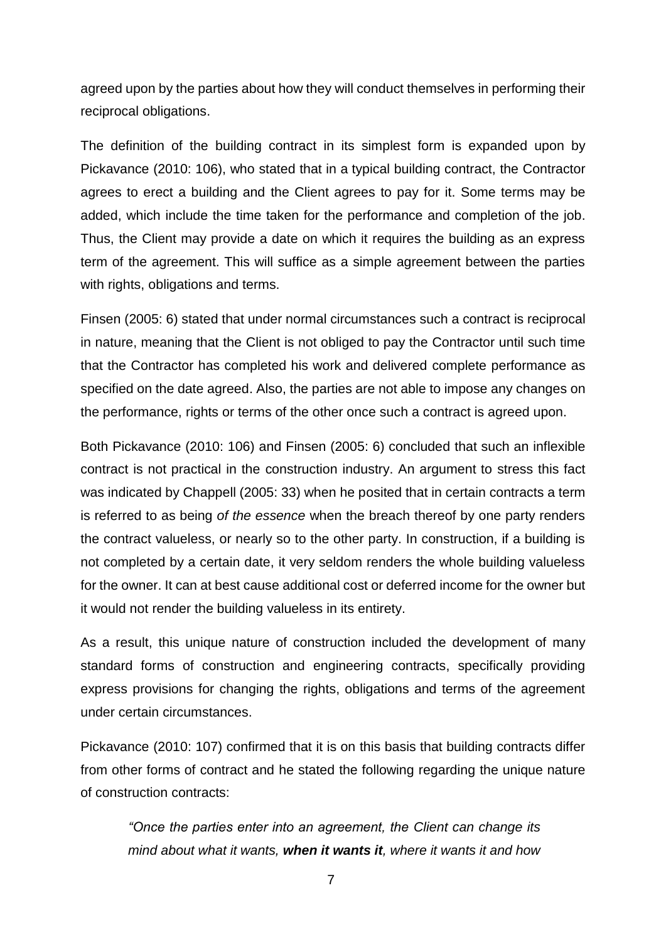agreed upon by the parties about how they will conduct themselves in performing their reciprocal obligations.

The definition of the building contract in its simplest form is expanded upon by Pickavance (2010: 106), who stated that in a typical building contract, the Contractor agrees to erect a building and the Client agrees to pay for it. Some terms may be added, which include the time taken for the performance and completion of the job. Thus, the Client may provide a date on which it requires the building as an express term of the agreement. This will suffice as a simple agreement between the parties with rights, obligations and terms.

Finsen (2005: 6) stated that under normal circumstances such a contract is reciprocal in nature, meaning that the Client is not obliged to pay the Contractor until such time that the Contractor has completed his work and delivered complete performance as specified on the date agreed. Also, the parties are not able to impose any changes on the performance, rights or terms of the other once such a contract is agreed upon.

Both Pickavance (2010: 106) and Finsen (2005: 6) concluded that such an inflexible contract is not practical in the construction industry. An argument to stress this fact was indicated by Chappell (2005: 33) when he posited that in certain contracts a term is referred to as being *of the essence* when the breach thereof by one party renders the contract valueless, or nearly so to the other party. In construction, if a building is not completed by a certain date, it very seldom renders the whole building valueless for the owner. It can at best cause additional cost or deferred income for the owner but it would not render the building valueless in its entirety.

As a result, this unique nature of construction included the development of many standard forms of construction and engineering contracts, specifically providing express provisions for changing the rights, obligations and terms of the agreement under certain circumstances.

Pickavance (2010: 107) confirmed that it is on this basis that building contracts differ from other forms of contract and he stated the following regarding the unique nature of construction contracts:

*"Once the parties enter into an agreement, the Client can change its mind about what it wants, when it wants it, where it wants it and how*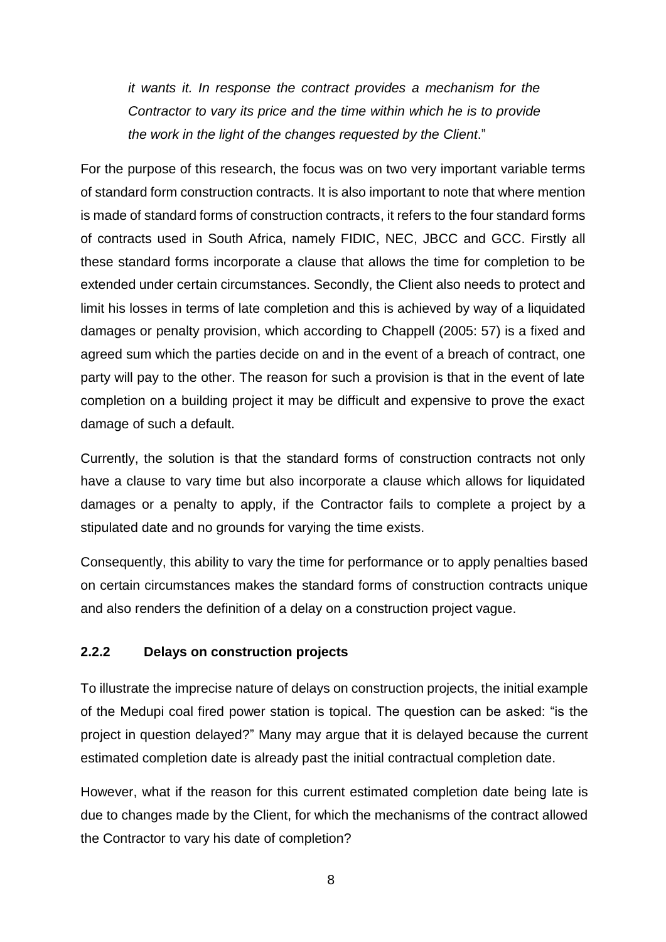*it wants it. In response the contract provides a mechanism for the Contractor to vary its price and the time within which he is to provide the work in the light of the changes requested by the Client*."

For the purpose of this research, the focus was on two very important variable terms of standard form construction contracts. It is also important to note that where mention is made of standard forms of construction contracts, it refers to the four standard forms of contracts used in South Africa, namely FIDIC, NEC, JBCC and GCC. Firstly all these standard forms incorporate a clause that allows the time for completion to be extended under certain circumstances. Secondly, the Client also needs to protect and limit his losses in terms of late completion and this is achieved by way of a liquidated damages or penalty provision, which according to Chappell (2005: 57) is a fixed and agreed sum which the parties decide on and in the event of a breach of contract, one party will pay to the other. The reason for such a provision is that in the event of late completion on a building project it may be difficult and expensive to prove the exact damage of such a default.

Currently, the solution is that the standard forms of construction contracts not only have a clause to vary time but also incorporate a clause which allows for liquidated damages or a penalty to apply, if the Contractor fails to complete a project by a stipulated date and no grounds for varying the time exists.

Consequently, this ability to vary the time for performance or to apply penalties based on certain circumstances makes the standard forms of construction contracts unique and also renders the definition of a delay on a construction project vague.

#### **2.2.2 Delays on construction projects**

To illustrate the imprecise nature of delays on construction projects, the initial example of the Medupi coal fired power station is topical. The question can be asked: "is the project in question delayed?" Many may argue that it is delayed because the current estimated completion date is already past the initial contractual completion date.

However, what if the reason for this current estimated completion date being late is due to changes made by the Client, for which the mechanisms of the contract allowed the Contractor to vary his date of completion?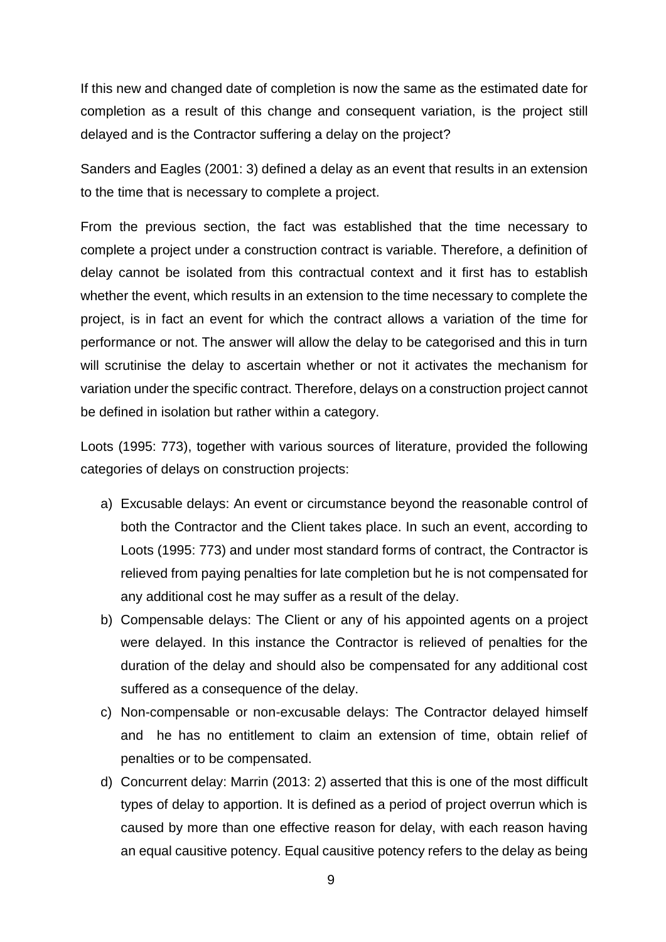If this new and changed date of completion is now the same as the estimated date for completion as a result of this change and consequent variation, is the project still delayed and is the Contractor suffering a delay on the project?

Sanders and Eagles (2001: 3) defined a delay as an event that results in an extension to the time that is necessary to complete a project.

From the previous section, the fact was established that the time necessary to complete a project under a construction contract is variable. Therefore, a definition of delay cannot be isolated from this contractual context and it first has to establish whether the event, which results in an extension to the time necessary to complete the project, is in fact an event for which the contract allows a variation of the time for performance or not. The answer will allow the delay to be categorised and this in turn will scrutinise the delay to ascertain whether or not it activates the mechanism for variation under the specific contract. Therefore, delays on a construction project cannot be defined in isolation but rather within a category.

Loots (1995: 773), together with various sources of literature, provided the following categories of delays on construction projects:

- a) Excusable delays: An event or circumstance beyond the reasonable control of both the Contractor and the Client takes place. In such an event, according to Loots (1995: 773) and under most standard forms of contract, the Contractor is relieved from paying penalties for late completion but he is not compensated for any additional cost he may suffer as a result of the delay.
- b) Compensable delays: The Client or any of his appointed agents on a project were delayed. In this instance the Contractor is relieved of penalties for the duration of the delay and should also be compensated for any additional cost suffered as a consequence of the delay.
- c) Non-compensable or non-excusable delays: The Contractor delayed himself and he has no entitlement to claim an extension of time, obtain relief of penalties or to be compensated.
- d) Concurrent delay: Marrin (2013: 2) asserted that this is one of the most difficult types of delay to apportion. It is defined as a period of project overrun which is caused by more than one effective reason for delay, with each reason having an equal causitive potency. Equal causitive potency refers to the delay as being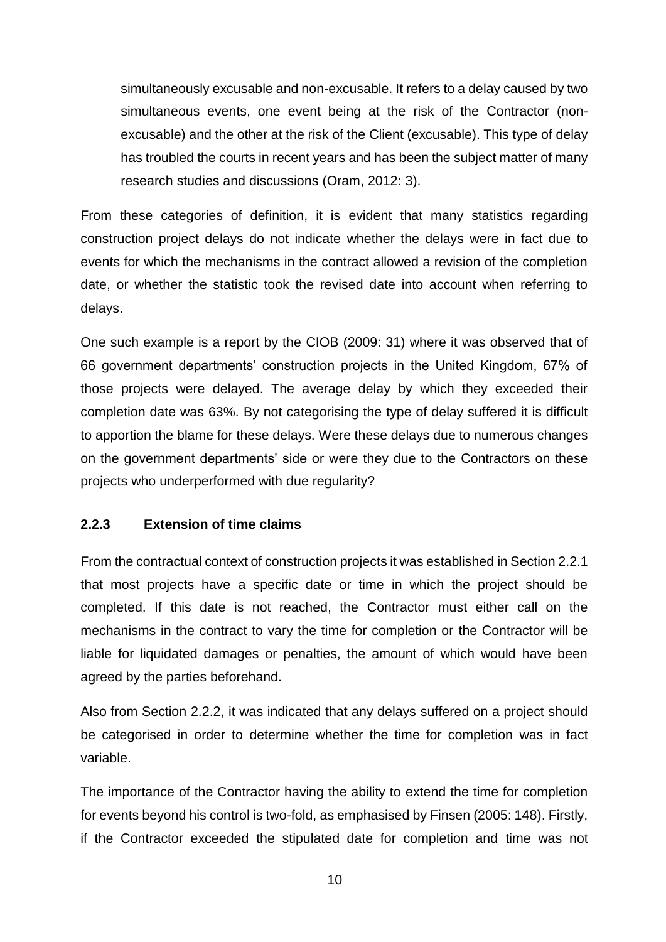simultaneously excusable and non-excusable. It refers to a delay caused by two simultaneous events, one event being at the risk of the Contractor (nonexcusable) and the other at the risk of the Client (excusable). This type of delay has troubled the courts in recent years and has been the subject matter of many research studies and discussions (Oram, 2012: 3).

From these categories of definition, it is evident that many statistics regarding construction project delays do not indicate whether the delays were in fact due to events for which the mechanisms in the contract allowed a revision of the completion date, or whether the statistic took the revised date into account when referring to delays.

One such example is a report by the CIOB (2009: 31) where it was observed that of 66 government departments' construction projects in the United Kingdom, 67% of those projects were delayed. The average delay by which they exceeded their completion date was 63%. By not categorising the type of delay suffered it is difficult to apportion the blame for these delays. Were these delays due to numerous changes on the government departments' side or were they due to the Contractors on these projects who underperformed with due regularity?

#### **2.2.3 Extension of time claims**

From the contractual context of construction projects it was established in Section 2.2.1 that most projects have a specific date or time in which the project should be completed. If this date is not reached, the Contractor must either call on the mechanisms in the contract to vary the time for completion or the Contractor will be liable for liquidated damages or penalties, the amount of which would have been agreed by the parties beforehand.

Also from Section 2.2.2, it was indicated that any delays suffered on a project should be categorised in order to determine whether the time for completion was in fact variable.

The importance of the Contractor having the ability to extend the time for completion for events beyond his control is two-fold, as emphasised by Finsen (2005: 148). Firstly, if the Contractor exceeded the stipulated date for completion and time was not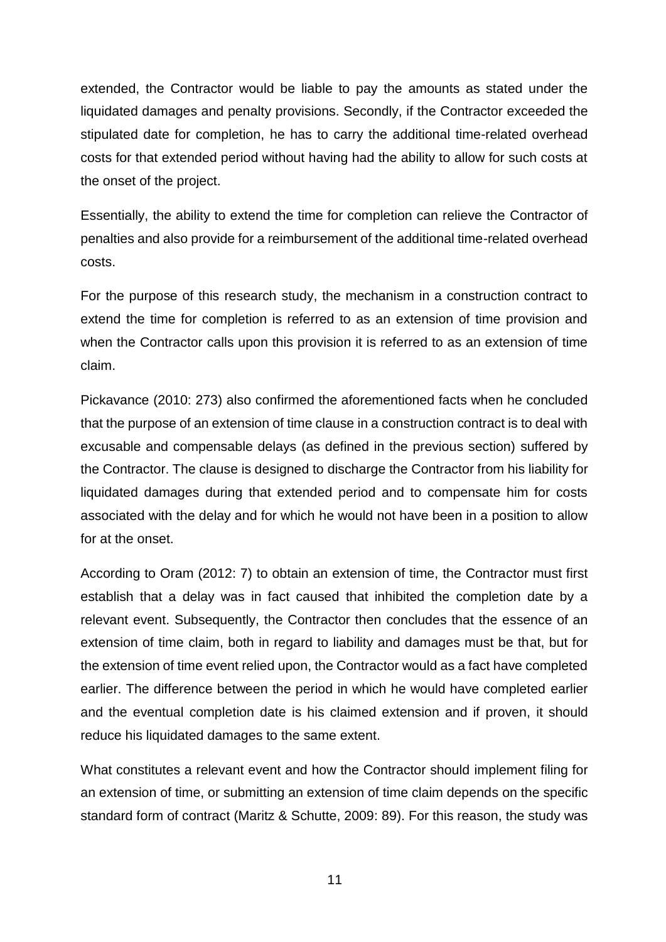extended, the Contractor would be liable to pay the amounts as stated under the liquidated damages and penalty provisions. Secondly, if the Contractor exceeded the stipulated date for completion, he has to carry the additional time-related overhead costs for that extended period without having had the ability to allow for such costs at the onset of the project.

Essentially, the ability to extend the time for completion can relieve the Contractor of penalties and also provide for a reimbursement of the additional time-related overhead costs.

For the purpose of this research study, the mechanism in a construction contract to extend the time for completion is referred to as an extension of time provision and when the Contractor calls upon this provision it is referred to as an extension of time claim.

Pickavance (2010: 273) also confirmed the aforementioned facts when he concluded that the purpose of an extension of time clause in a construction contract is to deal with excusable and compensable delays (as defined in the previous section) suffered by the Contractor. The clause is designed to discharge the Contractor from his liability for liquidated damages during that extended period and to compensate him for costs associated with the delay and for which he would not have been in a position to allow for at the onset.

According to Oram (2012: 7) to obtain an extension of time, the Contractor must first establish that a delay was in fact caused that inhibited the completion date by a relevant event. Subsequently, the Contractor then concludes that the essence of an extension of time claim, both in regard to liability and damages must be that, but for the extension of time event relied upon, the Contractor would as a fact have completed earlier. The difference between the period in which he would have completed earlier and the eventual completion date is his claimed extension and if proven, it should reduce his liquidated damages to the same extent.

What constitutes a relevant event and how the Contractor should implement filing for an extension of time, or submitting an extension of time claim depends on the specific standard form of contract (Maritz & Schutte, 2009: 89). For this reason, the study was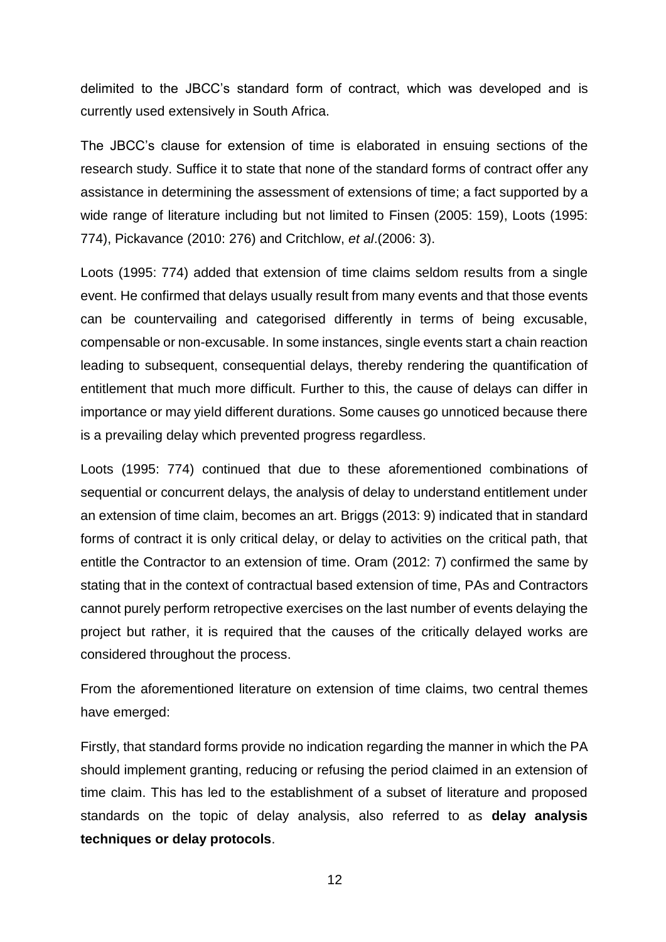delimited to the JBCC's standard form of contract, which was developed and is currently used extensively in South Africa.

The JBCC's clause for extension of time is elaborated in ensuing sections of the research study. Suffice it to state that none of the standard forms of contract offer any assistance in determining the assessment of extensions of time; a fact supported by a wide range of literature including but not limited to Finsen (2005: 159), Loots (1995: 774), Pickavance (2010: 276) and Critchlow, *et al*.(2006: 3).

Loots (1995: 774) added that extension of time claims seldom results from a single event. He confirmed that delays usually result from many events and that those events can be countervailing and categorised differently in terms of being excusable, compensable or non-excusable. In some instances, single events start a chain reaction leading to subsequent, consequential delays, thereby rendering the quantification of entitlement that much more difficult. Further to this, the cause of delays can differ in importance or may yield different durations. Some causes go unnoticed because there is a prevailing delay which prevented progress regardless.

Loots (1995: 774) continued that due to these aforementioned combinations of sequential or concurrent delays, the analysis of delay to understand entitlement under an extension of time claim, becomes an art. Briggs (2013: 9) indicated that in standard forms of contract it is only critical delay, or delay to activities on the critical path, that entitle the Contractor to an extension of time. Oram (2012: 7) confirmed the same by stating that in the context of contractual based extension of time, PAs and Contractors cannot purely perform retropective exercises on the last number of events delaying the project but rather, it is required that the causes of the critically delayed works are considered throughout the process.

From the aforementioned literature on extension of time claims, two central themes have emerged:

Firstly, that standard forms provide no indication regarding the manner in which the PA should implement granting, reducing or refusing the period claimed in an extension of time claim. This has led to the establishment of a subset of literature and proposed standards on the topic of delay analysis, also referred to as **delay analysis techniques or delay protocols**.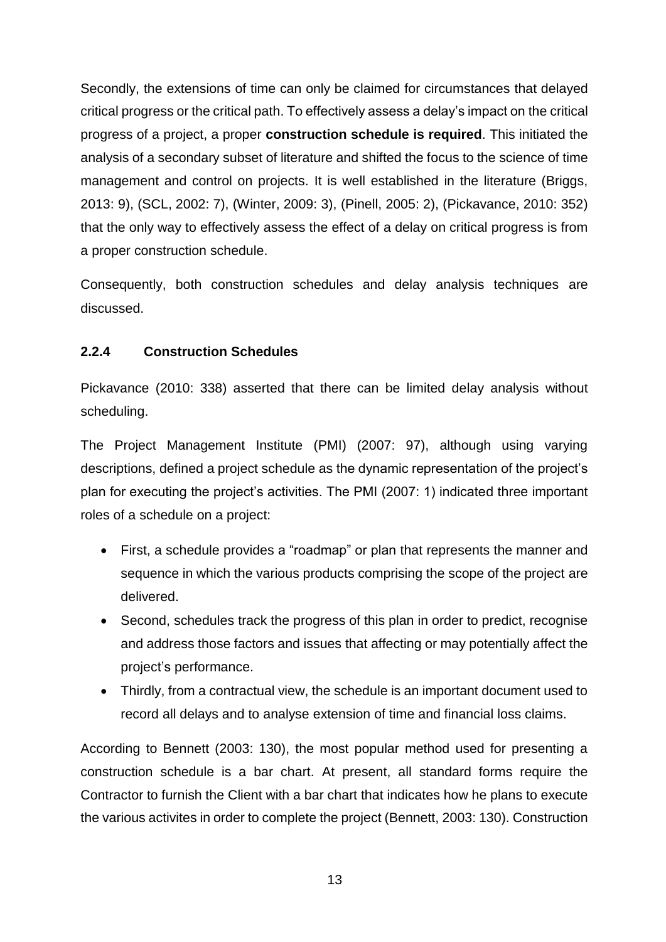Secondly, the extensions of time can only be claimed for circumstances that delayed critical progress or the critical path. To effectively assess a delay's impact on the critical progress of a project, a proper **construction schedule is required**. This initiated the analysis of a secondary subset of literature and shifted the focus to the science of time management and control on projects. It is well established in the literature (Briggs, 2013: 9), (SCL, 2002: 7), (Winter, 2009: 3), (Pinell, 2005: 2), (Pickavance, 2010: 352) that the only way to effectively assess the effect of a delay on critical progress is from a proper construction schedule.

Consequently, both construction schedules and delay analysis techniques are discussed.

#### **2.2.4 Construction Schedules**

Pickavance (2010: 338) asserted that there can be limited delay analysis without scheduling.

The Project Management Institute (PMI) (2007: 97), although using varying descriptions, defined a project schedule as the dynamic representation of the project's plan for executing the project's activities. The PMI (2007: 1) indicated three important roles of a schedule on a project:

- First, a schedule provides a "roadmap" or plan that represents the manner and sequence in which the various products comprising the scope of the project are delivered.
- Second, schedules track the progress of this plan in order to predict, recognise and address those factors and issues that affecting or may potentially affect the project's performance.
- Thirdly, from a contractual view, the schedule is an important document used to record all delays and to analyse extension of time and financial loss claims.

According to Bennett (2003: 130), the most popular method used for presenting a construction schedule is a bar chart. At present, all standard forms require the Contractor to furnish the Client with a bar chart that indicates how he plans to execute the various activites in order to complete the project (Bennett, 2003: 130). Construction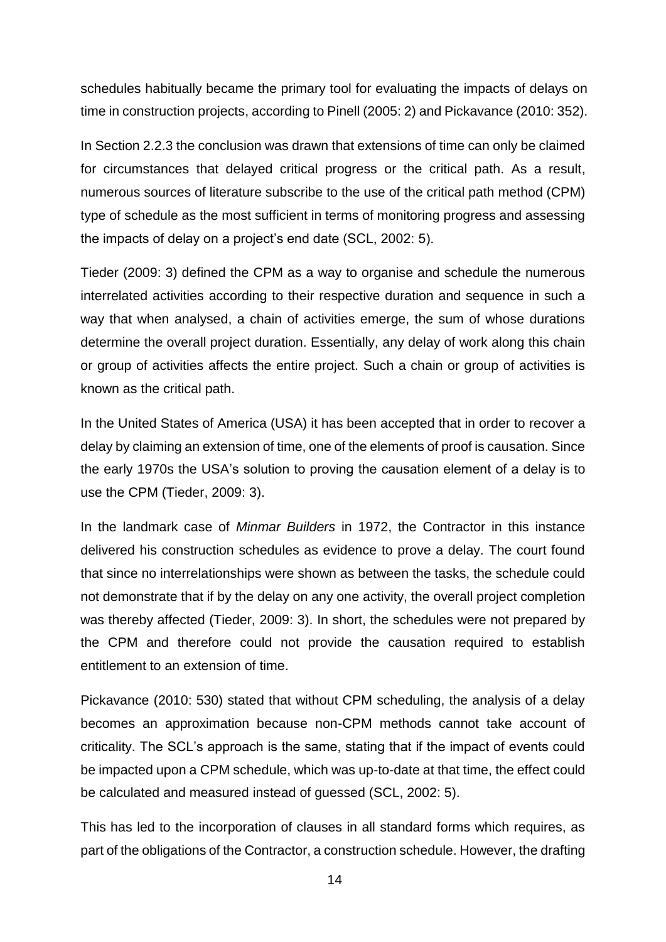schedules habitually became the primary tool for evaluating the impacts of delays on time in construction projects, according to Pinell (2005: 2) and Pickavance (2010: 352).

In Section 2.2.3 the conclusion was drawn that extensions of time can only be claimed for circumstances that delayed critical progress or the critical path. As a result, numerous sources of literature subscribe to the use of the critical path method (CPM) type of schedule as the most sufficient in terms of monitoring progress and assessing the impacts of delay on a project's end date (SCL, 2002: 5).

Tieder (2009: 3) defined the CPM as a way to organise and schedule the numerous interrelated activities according to their respective duration and sequence in such a way that when analysed, a chain of activities emerge, the sum of whose durations determine the overall project duration. Essentially, any delay of work along this chain or group of activities affects the entire project. Such a chain or group of activities is known as the critical path.

In the United States of America (USA) it has been accepted that in order to recover a delay by claiming an extension of time, one of the elements of proof is causation. Since the early 1970s the USA's solution to proving the causation element of a delay is to use the CPM (Tieder, 2009: 3).

In the landmark case of *Minmar Builders* in 1972, the Contractor in this instance delivered his construction schedules as evidence to prove a delay. The court found that since no interrelationships were shown as between the tasks, the schedule could not demonstrate that if by the delay on any one activity, the overall project completion was thereby affected (Tieder, 2009: 3). In short, the schedules were not prepared by the CPM and therefore could not provide the causation required to establish entitlement to an extension of time.

Pickavance (2010: 530) stated that without CPM scheduling, the analysis of a delay becomes an approximation because non-CPM methods cannot take account of criticality. The SCL's approach is the same, stating that if the impact of events could be impacted upon a CPM schedule, which was up-to-date at that time, the effect could be calculated and measured instead of guessed (SCL, 2002: 5).

This has led to the incorporation of clauses in all standard forms which requires, as part of the obligations of the Contractor, a construction schedule. However, the drafting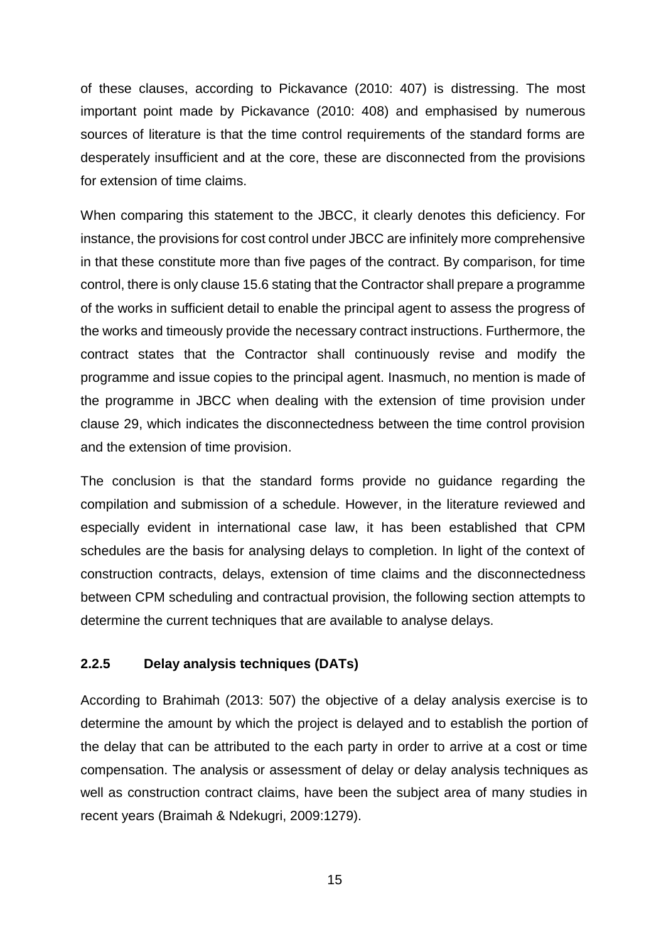of these clauses, according to Pickavance (2010: 407) is distressing. The most important point made by Pickavance (2010: 408) and emphasised by numerous sources of literature is that the time control requirements of the standard forms are desperately insufficient and at the core, these are disconnected from the provisions for extension of time claims.

When comparing this statement to the JBCC, it clearly denotes this deficiency. For instance, the provisions for cost control under JBCC are infinitely more comprehensive in that these constitute more than five pages of the contract. By comparison, for time control, there is only clause 15.6 stating that the Contractor shall prepare a programme of the works in sufficient detail to enable the principal agent to assess the progress of the works and timeously provide the necessary contract instructions. Furthermore, the contract states that the Contractor shall continuously revise and modify the programme and issue copies to the principal agent. Inasmuch, no mention is made of the programme in JBCC when dealing with the extension of time provision under clause 29, which indicates the disconnectedness between the time control provision and the extension of time provision.

The conclusion is that the standard forms provide no guidance regarding the compilation and submission of a schedule. However, in the literature reviewed and especially evident in international case law, it has been established that CPM schedules are the basis for analysing delays to completion. In light of the context of construction contracts, delays, extension of time claims and the disconnectedness between CPM scheduling and contractual provision, the following section attempts to determine the current techniques that are available to analyse delays.

#### **2.2.5 Delay analysis techniques (DATs)**

According to Brahimah (2013: 507) the objective of a delay analysis exercise is to determine the amount by which the project is delayed and to establish the portion of the delay that can be attributed to the each party in order to arrive at a cost or time compensation. The analysis or assessment of delay or delay analysis techniques as well as construction contract claims, have been the subject area of many studies in recent years (Braimah & Ndekugri, 2009:1279).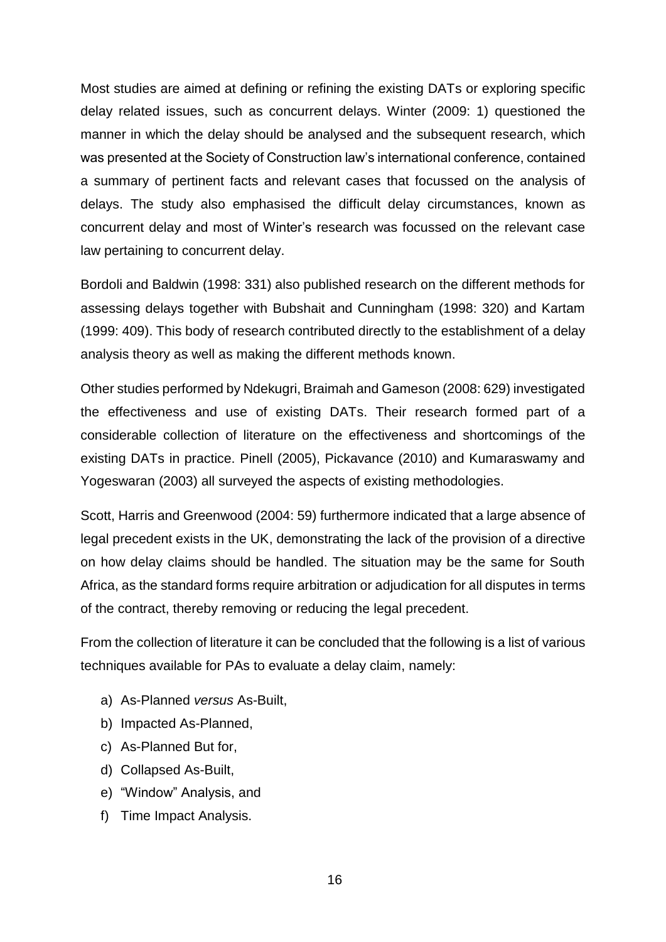Most studies are aimed at defining or refining the existing DATs or exploring specific delay related issues, such as concurrent delays. Winter (2009: 1) questioned the manner in which the delay should be analysed and the subsequent research, which was presented at the Society of Construction law's international conference, contained a summary of pertinent facts and relevant cases that focussed on the analysis of delays. The study also emphasised the difficult delay circumstances, known as concurrent delay and most of Winter's research was focussed on the relevant case law pertaining to concurrent delay.

Bordoli and Baldwin (1998: 331) also published research on the different methods for assessing delays together with Bubshait and Cunningham (1998: 320) and Kartam (1999: 409). This body of research contributed directly to the establishment of a delay analysis theory as well as making the different methods known.

Other studies performed by Ndekugri, Braimah and Gameson (2008: 629) investigated the effectiveness and use of existing DATs. Their research formed part of a considerable collection of literature on the effectiveness and shortcomings of the existing DATs in practice. Pinell (2005), Pickavance (2010) and Kumaraswamy and Yogeswaran (2003) all surveyed the aspects of existing methodologies.

Scott, Harris and Greenwood (2004: 59) furthermore indicated that a large absence of legal precedent exists in the UK, demonstrating the lack of the provision of a directive on how delay claims should be handled. The situation may be the same for South Africa, as the standard forms require arbitration or adjudication for all disputes in terms of the contract, thereby removing or reducing the legal precedent.

From the collection of literature it can be concluded that the following is a list of various techniques available for PAs to evaluate a delay claim, namely:

- a) As-Planned *versus* As-Built,
- b) Impacted As-Planned,
- c) As-Planned But for,
- d) Collapsed As-Built,
- e) "Window" Analysis, and
- f) Time Impact Analysis.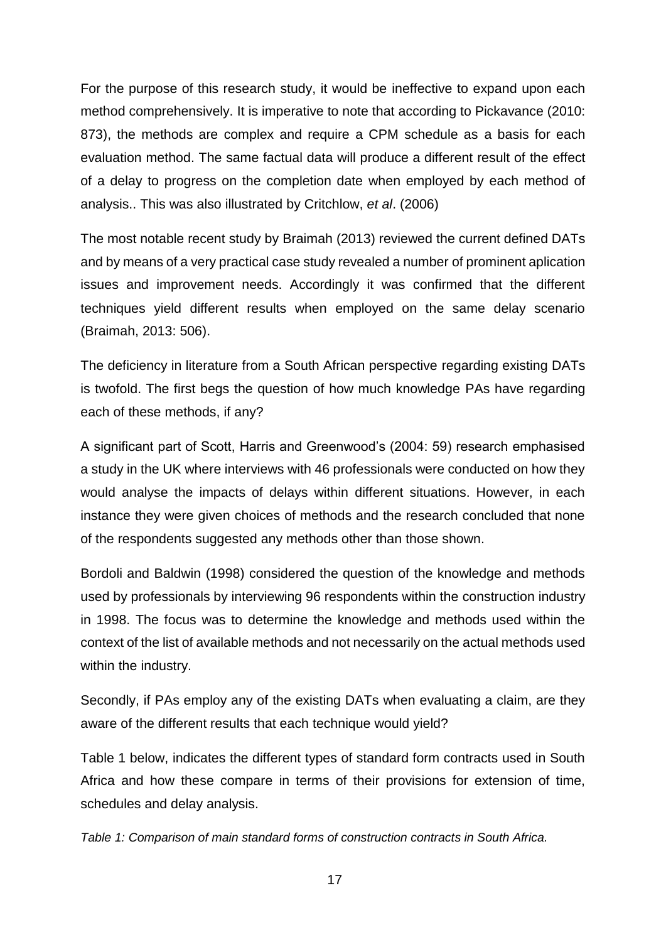For the purpose of this research study, it would be ineffective to expand upon each method comprehensively. It is imperative to note that according to Pickavance (2010: 873), the methods are complex and require a CPM schedule as a basis for each evaluation method. The same factual data will produce a different result of the effect of a delay to progress on the completion date when employed by each method of analysis.. This was also illustrated by Critchlow, *et al*. (2006)

The most notable recent study by Braimah (2013) reviewed the current defined DATs and by means of a very practical case study revealed a number of prominent aplication issues and improvement needs. Accordingly it was confirmed that the different techniques yield different results when employed on the same delay scenario (Braimah, 2013: 506).

The deficiency in literature from a South African perspective regarding existing DATs is twofold. The first begs the question of how much knowledge PAs have regarding each of these methods, if any?

A significant part of Scott, Harris and Greenwood's (2004: 59) research emphasised a study in the UK where interviews with 46 professionals were conducted on how they would analyse the impacts of delays within different situations. However, in each instance they were given choices of methods and the research concluded that none of the respondents suggested any methods other than those shown.

Bordoli and Baldwin (1998) considered the question of the knowledge and methods used by professionals by interviewing 96 respondents within the construction industry in 1998. The focus was to determine the knowledge and methods used within the context of the list of available methods and not necessarily on the actual methods used within the industry.

Secondly, if PAs employ any of the existing DATs when evaluating a claim, are they aware of the different results that each technique would yield?

Table 1 below, indicates the different types of standard form contracts used in South Africa and how these compare in terms of their provisions for extension of time, schedules and delay analysis.

*Table 1: Comparison of main standard forms of construction contracts in South Africa.*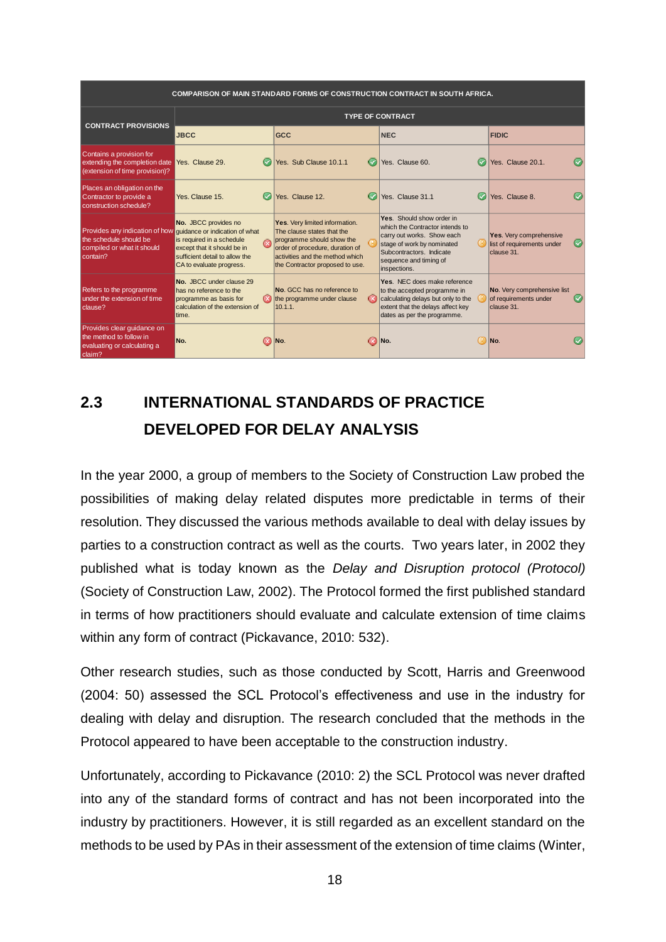| <b>COMPARISON OF MAIN STANDARD FORMS OF CONSTRUCTION CONTRACT IN SOUTH AFRICA.</b>                                                |                                                                                                                                                |                                                                                                                                                                                                    |                                                                                                                                                                                                |    |                                                                     |  |
|-----------------------------------------------------------------------------------------------------------------------------------|------------------------------------------------------------------------------------------------------------------------------------------------|----------------------------------------------------------------------------------------------------------------------------------------------------------------------------------------------------|------------------------------------------------------------------------------------------------------------------------------------------------------------------------------------------------|----|---------------------------------------------------------------------|--|
|                                                                                                                                   | <b>TYPE OF CONTRACT</b>                                                                                                                        |                                                                                                                                                                                                    |                                                                                                                                                                                                |    |                                                                     |  |
| <b>CONTRACT PROVISIONS</b>                                                                                                        | <b>JBCC</b>                                                                                                                                    | <b>GCC</b>                                                                                                                                                                                         | <b>NEC</b>                                                                                                                                                                                     |    | <b>FIDIC</b>                                                        |  |
| Contains a provision for<br>extending the completion date<br>(extension of time provision)?                                       | $\bullet$<br>Yes. Clause 29.                                                                                                                   | Yes Sub Clause 10 1 1                                                                                                                                                                              | Yes Clause 60                                                                                                                                                                                  |    | Yes Clause 20.1                                                     |  |
| Places an obligation on the<br>Contractor to provide a<br>construction schedule?                                                  | Yes, Clause 15.<br>(V                                                                                                                          | Yes. Clause 12.                                                                                                                                                                                    | Yes. Clause 31.1                                                                                                                                                                               |    | Yes. Clause 8.                                                      |  |
| Provides any indication of how quidance or indication of what<br>the schedule should be<br>compiled or what it should<br>contain? | No. JBCC provides no<br>is required in a schedule<br>except that it should be in<br>sufficient detail to allow the<br>CA to evaluate progress. | Yes. Very limited information.<br>The clause states that the<br>programme should show the<br>order of procedure, duration of<br>activities and the method which<br>the Contractor proposed to use. | Yes. Should show order in<br>which the Contractor intends to<br>carry out works. Show each<br>stage of work by nominated<br>Subcontractors, Indicate<br>sequence and timing of<br>inspections. |    | Yes. Very comprehensive<br>list of requirements under<br>clause 31. |  |
| Refers to the programme<br>under the extension of time<br>clause?                                                                 | No. JBCC under clause 29<br>has no reference to the<br>programme as basis for<br>calculation of the extension of<br>time.                      | No. GCC has no reference to<br>the programme under clause<br>10.1.1.                                                                                                                               | Yes. NEC does make reference<br>to the accepted programme in<br>calculating delays but only to the<br>extent that the delays affect key<br>dates as per the programme.                         |    | No. Very comprehensive list<br>of requirements under<br>clause 31.  |  |
| Provides clear quidance on<br>the method to follow in<br>evaluating or calculating a<br>claim?                                    | No.<br>$\infty$                                                                                                                                | INo.<br>$\infty$                                                                                                                                                                                   | No.                                                                                                                                                                                            | U. | INo.                                                                |  |

# **2.3 INTERNATIONAL STANDARDS OF PRACTICE DEVELOPED FOR DELAY ANALYSIS**

In the year 2000, a group of members to the Society of Construction Law probed the possibilities of making delay related disputes more predictable in terms of their resolution. They discussed the various methods available to deal with delay issues by parties to a construction contract as well as the courts. Two years later, in 2002 they published what is today known as the *Delay and Disruption protocol (Protocol)* (Society of Construction Law, 2002). The Protocol formed the first published standard in terms of how practitioners should evaluate and calculate extension of time claims within any form of contract (Pickavance, 2010: 532).

Other research studies, such as those conducted by Scott, Harris and Greenwood (2004: 50) assessed the SCL Protocol's effectiveness and use in the industry for dealing with delay and disruption. The research concluded that the methods in the Protocol appeared to have been acceptable to the construction industry.

Unfortunately, according to Pickavance (2010: 2) the SCL Protocol was never drafted into any of the standard forms of contract and has not been incorporated into the industry by practitioners. However, it is still regarded as an excellent standard on the methods to be used by PAs in their assessment of the extension of time claims (Winter,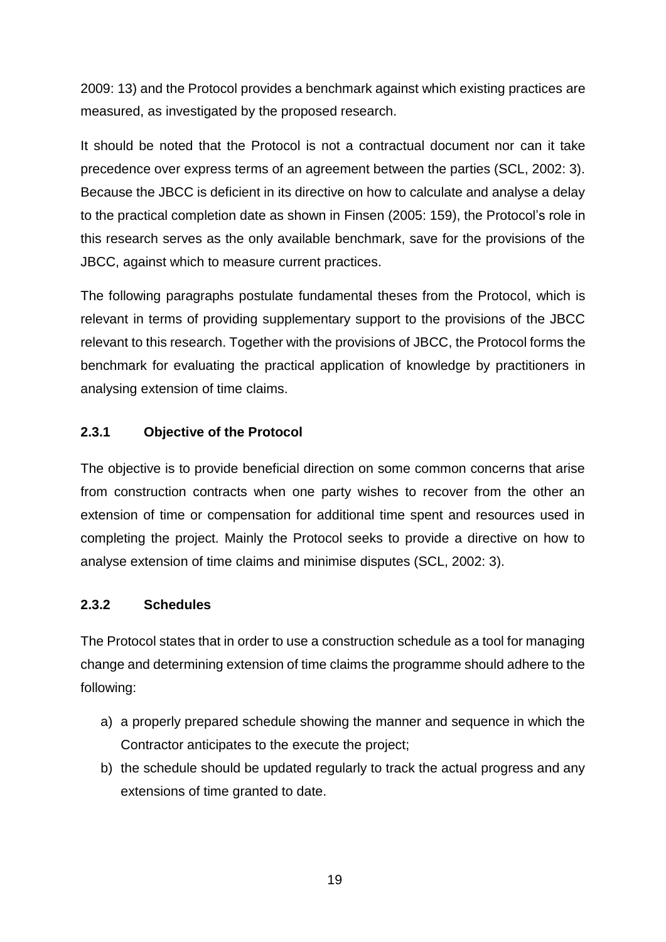2009: 13) and the Protocol provides a benchmark against which existing practices are measured, as investigated by the proposed research.

It should be noted that the Protocol is not a contractual document nor can it take precedence over express terms of an agreement between the parties (SCL, 2002: 3). Because the JBCC is deficient in its directive on how to calculate and analyse a delay to the practical completion date as shown in Finsen (2005: 159), the Protocol's role in this research serves as the only available benchmark, save for the provisions of the JBCC, against which to measure current practices.

The following paragraphs postulate fundamental theses from the Protocol, which is relevant in terms of providing supplementary support to the provisions of the JBCC relevant to this research. Together with the provisions of JBCC, the Protocol forms the benchmark for evaluating the practical application of knowledge by practitioners in analysing extension of time claims.

#### **2.3.1 Objective of the Protocol**

The objective is to provide beneficial direction on some common concerns that arise from construction contracts when one party wishes to recover from the other an extension of time or compensation for additional time spent and resources used in completing the project. Mainly the Protocol seeks to provide a directive on how to analyse extension of time claims and minimise disputes (SCL, 2002: 3).

#### **2.3.2 Schedules**

The Protocol states that in order to use a construction schedule as a tool for managing change and determining extension of time claims the programme should adhere to the following:

- a) a properly prepared schedule showing the manner and sequence in which the Contractor anticipates to the execute the project;
- b) the schedule should be updated regularly to track the actual progress and any extensions of time granted to date.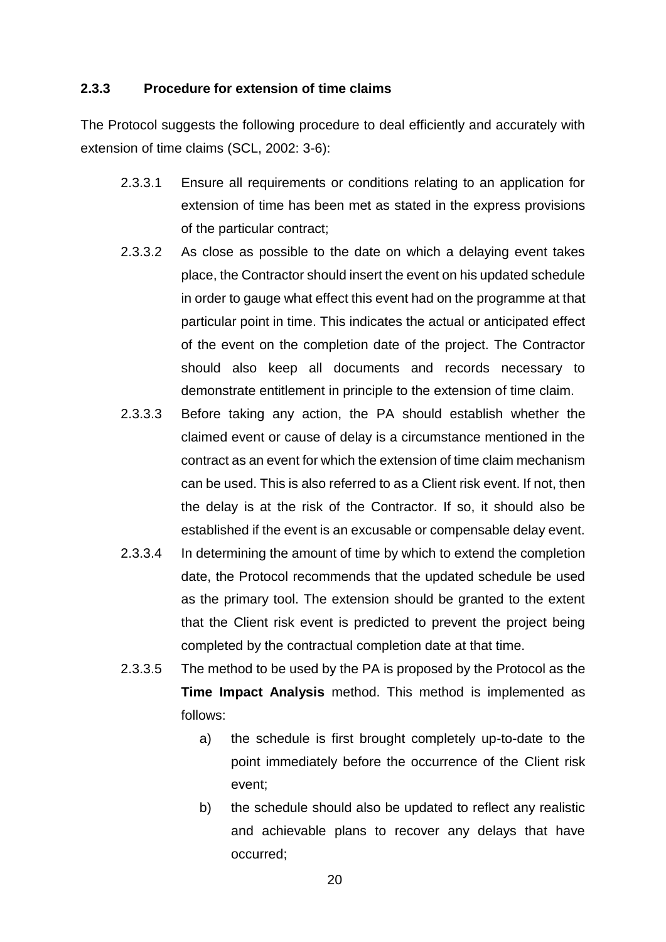#### **2.3.3 Procedure for extension of time claims**

The Protocol suggests the following procedure to deal efficiently and accurately with extension of time claims (SCL, 2002: 3-6):

- 2.3.3.1 Ensure all requirements or conditions relating to an application for extension of time has been met as stated in the express provisions of the particular contract;
- 2.3.3.2 As close as possible to the date on which a delaying event takes place, the Contractor should insert the event on his updated schedule in order to gauge what effect this event had on the programme at that particular point in time. This indicates the actual or anticipated effect of the event on the completion date of the project. The Contractor should also keep all documents and records necessary to demonstrate entitlement in principle to the extension of time claim.
- 2.3.3.3 Before taking any action, the PA should establish whether the claimed event or cause of delay is a circumstance mentioned in the contract as an event for which the extension of time claim mechanism can be used. This is also referred to as a Client risk event. If not, then the delay is at the risk of the Contractor. If so, it should also be established if the event is an excusable or compensable delay event.
- 2.3.3.4 In determining the amount of time by which to extend the completion date, the Protocol recommends that the updated schedule be used as the primary tool. The extension should be granted to the extent that the Client risk event is predicted to prevent the project being completed by the contractual completion date at that time.
- 2.3.3.5 The method to be used by the PA is proposed by the Protocol as the **Time Impact Analysis** method. This method is implemented as follows:
	- a) the schedule is first brought completely up-to-date to the point immediately before the occurrence of the Client risk event;
	- b) the schedule should also be updated to reflect any realistic and achievable plans to recover any delays that have occurred;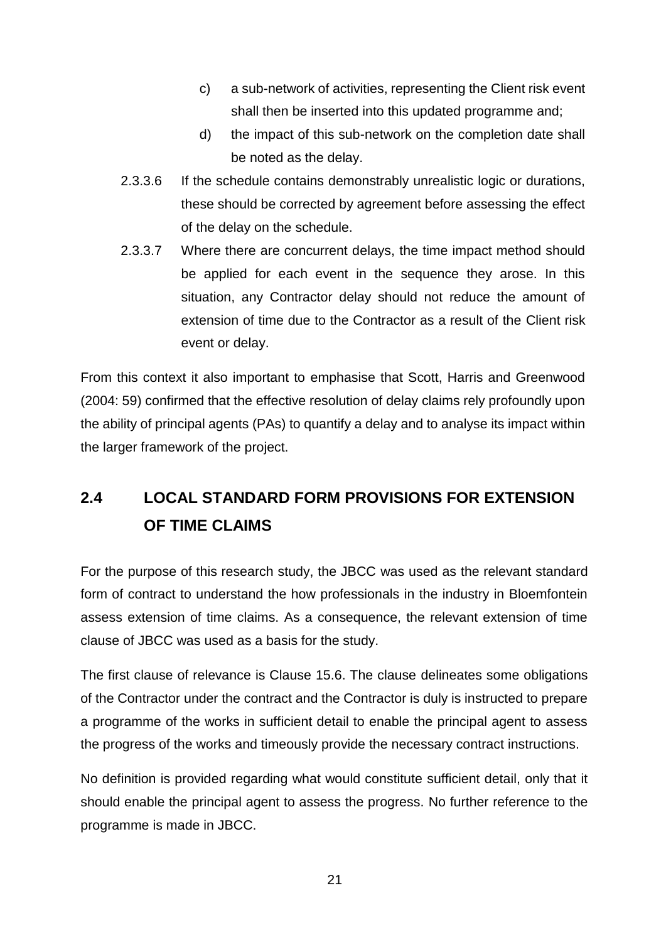- c) a sub-network of activities, representing the Client risk event shall then be inserted into this updated programme and;
- d) the impact of this sub-network on the completion date shall be noted as the delay.
- 2.3.3.6 If the schedule contains demonstrably unrealistic logic or durations, these should be corrected by agreement before assessing the effect of the delay on the schedule.
- 2.3.3.7 Where there are concurrent delays, the time impact method should be applied for each event in the sequence they arose. In this situation, any Contractor delay should not reduce the amount of extension of time due to the Contractor as a result of the Client risk event or delay.

From this context it also important to emphasise that Scott, Harris and Greenwood (2004: 59) confirmed that the effective resolution of delay claims rely profoundly upon the ability of principal agents (PAs) to quantify a delay and to analyse its impact within the larger framework of the project.

# **2.4 LOCAL STANDARD FORM PROVISIONS FOR EXTENSION OF TIME CLAIMS**

For the purpose of this research study, the JBCC was used as the relevant standard form of contract to understand the how professionals in the industry in Bloemfontein assess extension of time claims. As a consequence, the relevant extension of time clause of JBCC was used as a basis for the study.

The first clause of relevance is Clause 15.6. The clause delineates some obligations of the Contractor under the contract and the Contractor is duly is instructed to prepare a programme of the works in sufficient detail to enable the principal agent to assess the progress of the works and timeously provide the necessary contract instructions.

No definition is provided regarding what would constitute sufficient detail, only that it should enable the principal agent to assess the progress. No further reference to the programme is made in JBCC.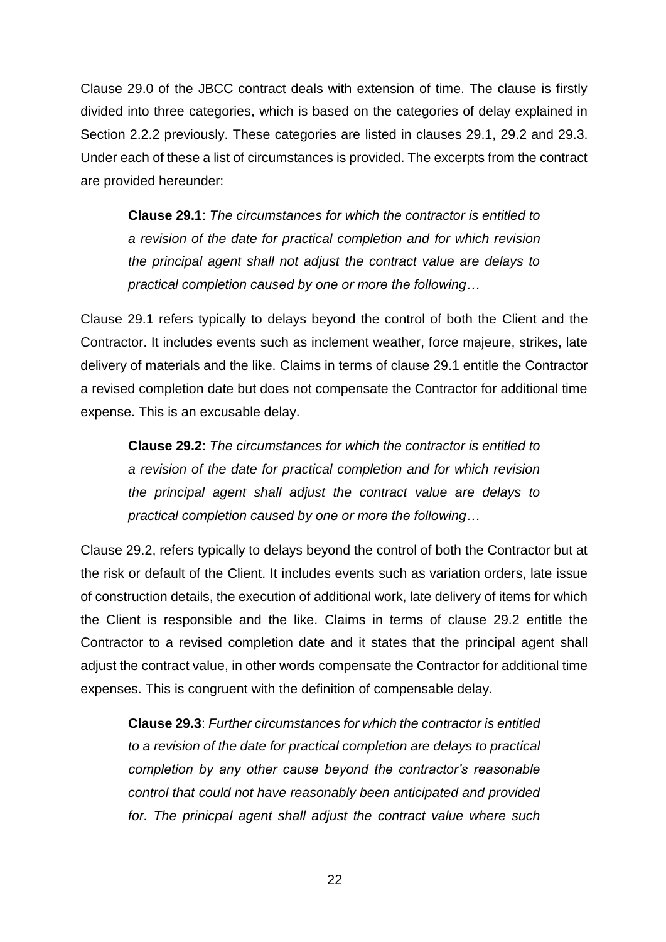Clause 29.0 of the JBCC contract deals with extension of time. The clause is firstly divided into three categories, which is based on the categories of delay explained in Section 2.2.2 previously. These categories are listed in clauses 29.1, 29.2 and 29.3. Under each of these a list of circumstances is provided. The excerpts from the contract are provided hereunder:

**Clause 29.1**: *The circumstances for which the contractor is entitled to a revision of the date for practical completion and for which revision the principal agent shall not adjust the contract value are delays to practical completion caused by one or more the following…*

Clause 29.1 refers typically to delays beyond the control of both the Client and the Contractor. It includes events such as inclement weather, force majeure, strikes, late delivery of materials and the like. Claims in terms of clause 29.1 entitle the Contractor a revised completion date but does not compensate the Contractor for additional time expense. This is an excusable delay.

**Clause 29.2**: *The circumstances for which the contractor is entitled to a revision of the date for practical completion and for which revision the principal agent shall adjust the contract value are delays to practical completion caused by one or more the following…*

Clause 29.2, refers typically to delays beyond the control of both the Contractor but at the risk or default of the Client. It includes events such as variation orders, late issue of construction details, the execution of additional work, late delivery of items for which the Client is responsible and the like. Claims in terms of clause 29.2 entitle the Contractor to a revised completion date and it states that the principal agent shall adjust the contract value, in other words compensate the Contractor for additional time expenses. This is congruent with the definition of compensable delay.

**Clause 29.3**: *Further circumstances for which the contractor is entitled to a revision of the date for practical completion are delays to practical completion by any other cause beyond the contractor's reasonable control that could not have reasonably been anticipated and provided*  for. The prinicpal agent shall adjust the contract value where such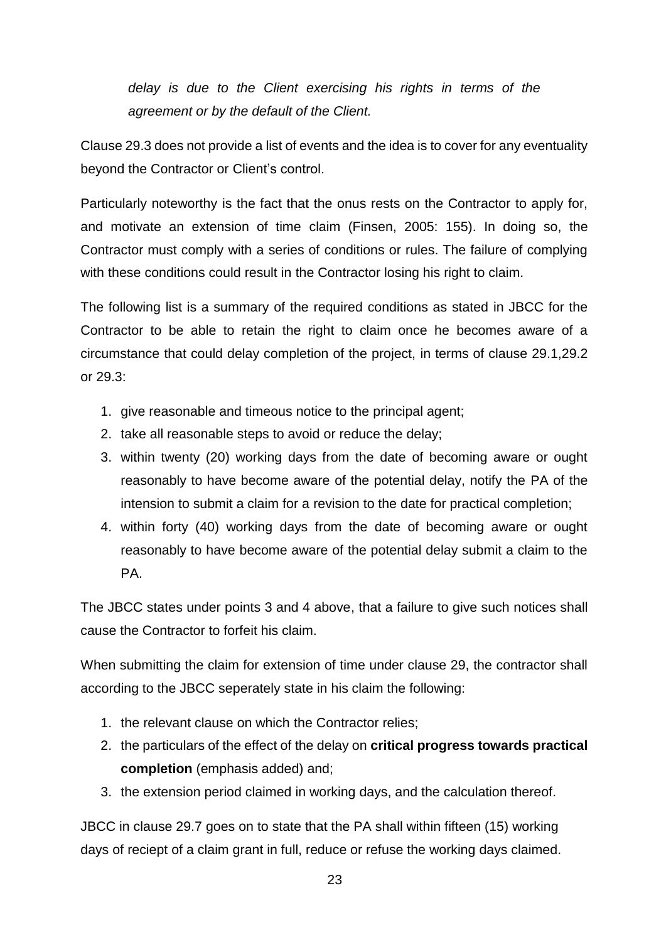*delay is due to the Client exercising his rights in terms of the agreement or by the default of the Client.* 

Clause 29.3 does not provide a list of events and the idea is to cover for any eventuality beyond the Contractor or Client's control.

Particularly noteworthy is the fact that the onus rests on the Contractor to apply for, and motivate an extension of time claim (Finsen, 2005: 155). In doing so, the Contractor must comply with a series of conditions or rules. The failure of complying with these conditions could result in the Contractor losing his right to claim.

The following list is a summary of the required conditions as stated in JBCC for the Contractor to be able to retain the right to claim once he becomes aware of a circumstance that could delay completion of the project, in terms of clause 29.1,29.2 or 29.3:

- 1. give reasonable and timeous notice to the principal agent;
- 2. take all reasonable steps to avoid or reduce the delay;
- 3. within twenty (20) working days from the date of becoming aware or ought reasonably to have become aware of the potential delay, notify the PA of the intension to submit a claim for a revision to the date for practical completion;
- 4. within forty (40) working days from the date of becoming aware or ought reasonably to have become aware of the potential delay submit a claim to the PA.

The JBCC states under points 3 and 4 above, that a failure to give such notices shall cause the Contractor to forfeit his claim.

When submitting the claim for extension of time under clause 29, the contractor shall according to the JBCC seperately state in his claim the following:

- 1. the relevant clause on which the Contractor relies;
- 2. the particulars of the effect of the delay on **critical progress towards practical completion** (emphasis added) and;
- 3. the extension period claimed in working days, and the calculation thereof.

JBCC in clause 29.7 goes on to state that the PA shall within fifteen (15) working days of reciept of a claim grant in full, reduce or refuse the working days claimed.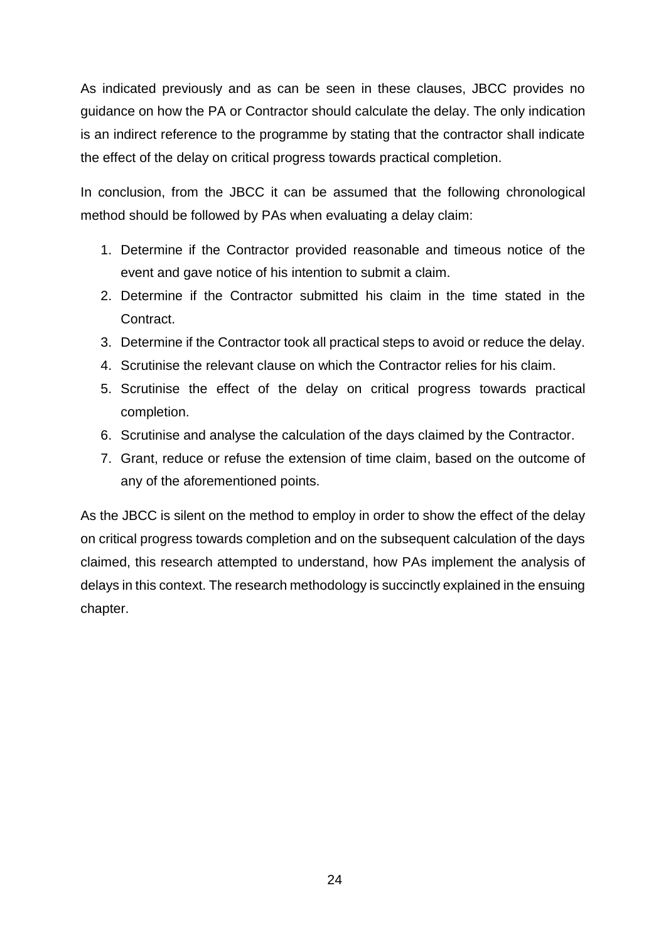As indicated previously and as can be seen in these clauses, JBCC provides no guidance on how the PA or Contractor should calculate the delay. The only indication is an indirect reference to the programme by stating that the contractor shall indicate the effect of the delay on critical progress towards practical completion.

In conclusion, from the JBCC it can be assumed that the following chronological method should be followed by PAs when evaluating a delay claim:

- 1. Determine if the Contractor provided reasonable and timeous notice of the event and gave notice of his intention to submit a claim.
- 2. Determine if the Contractor submitted his claim in the time stated in the Contract.
- 3. Determine if the Contractor took all practical steps to avoid or reduce the delay.
- 4. Scrutinise the relevant clause on which the Contractor relies for his claim.
- 5. Scrutinise the effect of the delay on critical progress towards practical completion.
- 6. Scrutinise and analyse the calculation of the days claimed by the Contractor.
- 7. Grant, reduce or refuse the extension of time claim, based on the outcome of any of the aforementioned points.

As the JBCC is silent on the method to employ in order to show the effect of the delay on critical progress towards completion and on the subsequent calculation of the days claimed, this research attempted to understand, how PAs implement the analysis of delays in this context. The research methodology is succinctly explained in the ensuing chapter.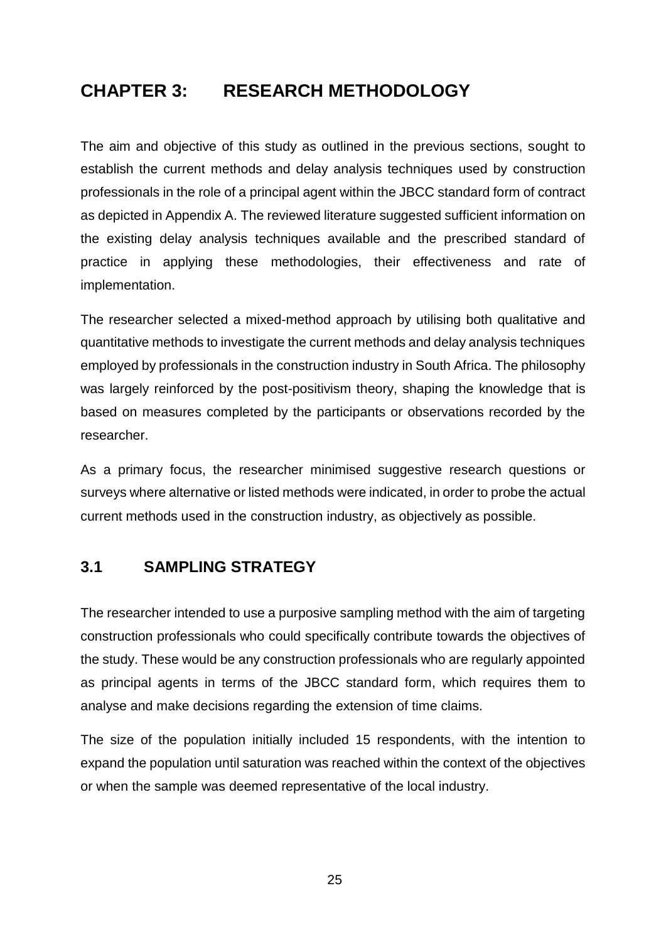# **CHAPTER 3: RESEARCH METHODOLOGY**

The aim and objective of this study as outlined in the previous sections, sought to establish the current methods and delay analysis techniques used by construction professionals in the role of a principal agent within the JBCC standard form of contract as depicted in Appendix A. The reviewed literature suggested sufficient information on the existing delay analysis techniques available and the prescribed standard of practice in applying these methodologies, their effectiveness and rate of implementation.

The researcher selected a mixed-method approach by utilising both qualitative and quantitative methods to investigate the current methods and delay analysis techniques employed by professionals in the construction industry in South Africa. The philosophy was largely reinforced by the post-positivism theory, shaping the knowledge that is based on measures completed by the participants or observations recorded by the researcher.

As a primary focus, the researcher minimised suggestive research questions or surveys where alternative or listed methods were indicated, in order to probe the actual current methods used in the construction industry, as objectively as possible.

#### **3.1 SAMPLING STRATEGY**

The researcher intended to use a purposive sampling method with the aim of targeting construction professionals who could specifically contribute towards the objectives of the study. These would be any construction professionals who are regularly appointed as principal agents in terms of the JBCC standard form, which requires them to analyse and make decisions regarding the extension of time claims.

The size of the population initially included 15 respondents, with the intention to expand the population until saturation was reached within the context of the objectives or when the sample was deemed representative of the local industry.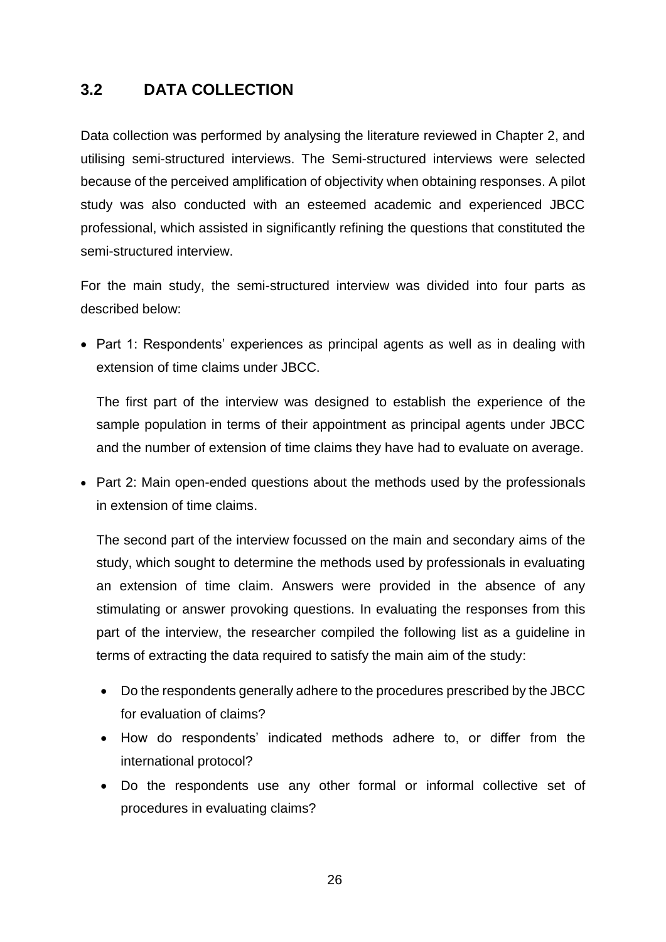## **3.2 DATA COLLECTION**

Data collection was performed by analysing the literature reviewed in Chapter 2, and utilising semi-structured interviews. The Semi-structured interviews were selected because of the perceived amplification of objectivity when obtaining responses. A pilot study was also conducted with an esteemed academic and experienced JBCC professional, which assisted in significantly refining the questions that constituted the semi-structured interview.

For the main study, the semi-structured interview was divided into four parts as described below:

• Part 1: Respondents' experiences as principal agents as well as in dealing with extension of time claims under JBCC.

The first part of the interview was designed to establish the experience of the sample population in terms of their appointment as principal agents under JBCC and the number of extension of time claims they have had to evaluate on average.

• Part 2: Main open-ended questions about the methods used by the professionals in extension of time claims.

The second part of the interview focussed on the main and secondary aims of the study, which sought to determine the methods used by professionals in evaluating an extension of time claim. Answers were provided in the absence of any stimulating or answer provoking questions. In evaluating the responses from this part of the interview, the researcher compiled the following list as a guideline in terms of extracting the data required to satisfy the main aim of the study:

- Do the respondents generally adhere to the procedures prescribed by the JBCC for evaluation of claims?
- How do respondents' indicated methods adhere to, or differ from the international protocol?
- Do the respondents use any other formal or informal collective set of procedures in evaluating claims?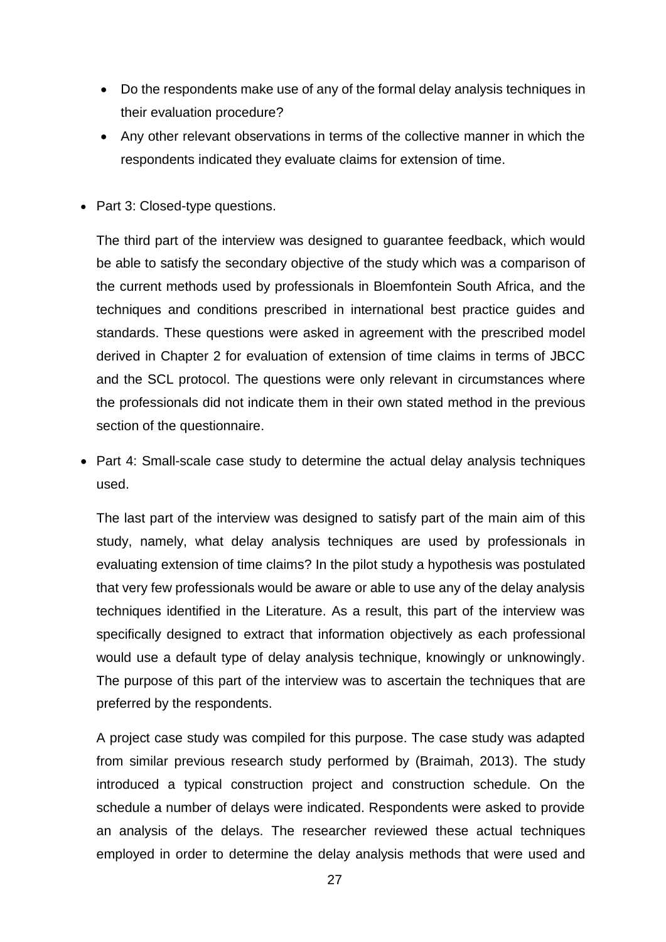- Do the respondents make use of any of the formal delay analysis techniques in their evaluation procedure?
- Any other relevant observations in terms of the collective manner in which the respondents indicated they evaluate claims for extension of time.
- Part 3: Closed-type questions.

The third part of the interview was designed to guarantee feedback, which would be able to satisfy the secondary objective of the study which was a comparison of the current methods used by professionals in Bloemfontein South Africa, and the techniques and conditions prescribed in international best practice guides and standards. These questions were asked in agreement with the prescribed model derived in Chapter 2 for evaluation of extension of time claims in terms of JBCC and the SCL protocol. The questions were only relevant in circumstances where the professionals did not indicate them in their own stated method in the previous section of the questionnaire.

• Part 4: Small-scale case study to determine the actual delay analysis techniques used.

The last part of the interview was designed to satisfy part of the main aim of this study, namely, what delay analysis techniques are used by professionals in evaluating extension of time claims? In the pilot study a hypothesis was postulated that very few professionals would be aware or able to use any of the delay analysis techniques identified in the Literature. As a result, this part of the interview was specifically designed to extract that information objectively as each professional would use a default type of delay analysis technique, knowingly or unknowingly. The purpose of this part of the interview was to ascertain the techniques that are preferred by the respondents.

A project case study was compiled for this purpose. The case study was adapted from similar previous research study performed by (Braimah, 2013). The study introduced a typical construction project and construction schedule. On the schedule a number of delays were indicated. Respondents were asked to provide an analysis of the delays. The researcher reviewed these actual techniques employed in order to determine the delay analysis methods that were used and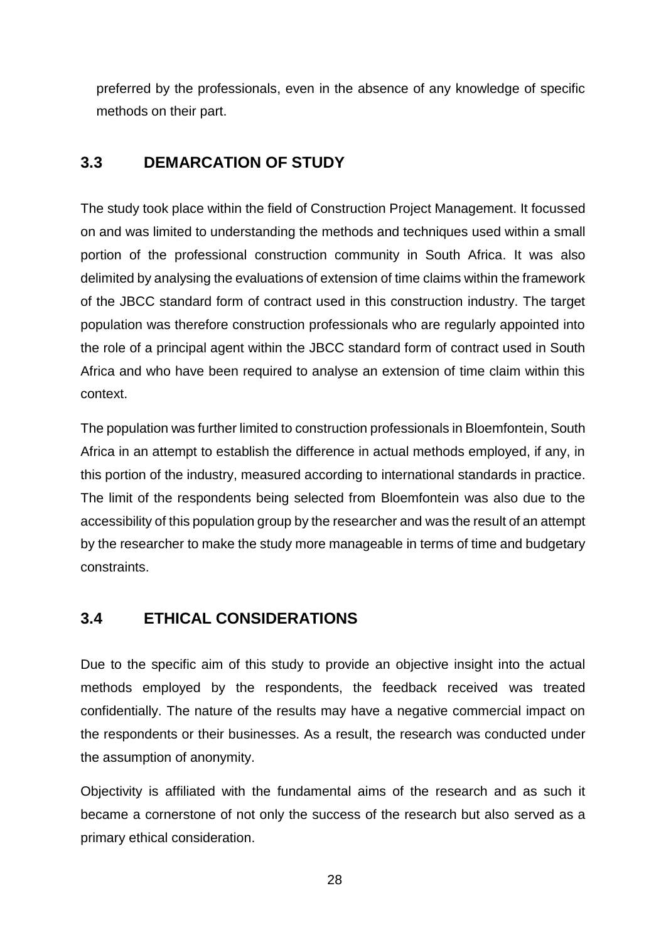preferred by the professionals, even in the absence of any knowledge of specific methods on their part.

## **3.3 DEMARCATION OF STUDY**

The study took place within the field of Construction Project Management. It focussed on and was limited to understanding the methods and techniques used within a small portion of the professional construction community in South Africa. It was also delimited by analysing the evaluations of extension of time claims within the framework of the JBCC standard form of contract used in this construction industry. The target population was therefore construction professionals who are regularly appointed into the role of a principal agent within the JBCC standard form of contract used in South Africa and who have been required to analyse an extension of time claim within this context.

The population was further limited to construction professionals in Bloemfontein, South Africa in an attempt to establish the difference in actual methods employed, if any, in this portion of the industry, measured according to international standards in practice. The limit of the respondents being selected from Bloemfontein was also due to the accessibility of this population group by the researcher and was the result of an attempt by the researcher to make the study more manageable in terms of time and budgetary constraints.

## **3.4 ETHICAL CONSIDERATIONS**

Due to the specific aim of this study to provide an objective insight into the actual methods employed by the respondents, the feedback received was treated confidentially. The nature of the results may have a negative commercial impact on the respondents or their businesses. As a result, the research was conducted under the assumption of anonymity.

Objectivity is affiliated with the fundamental aims of the research and as such it became a cornerstone of not only the success of the research but also served as a primary ethical consideration.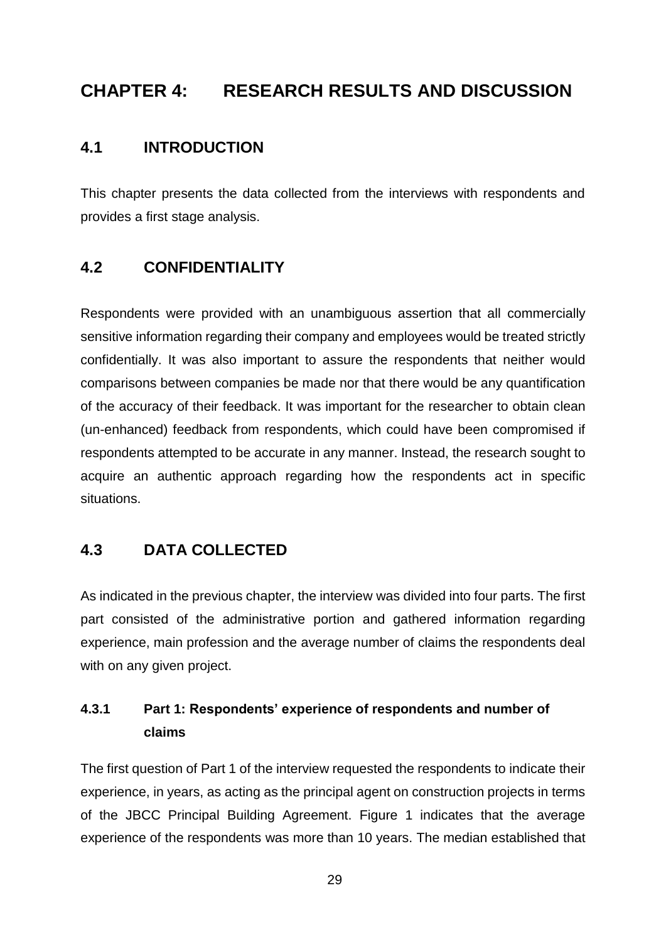# **CHAPTER 4: RESEARCH RESULTS AND DISCUSSION**

### **4.1 INTRODUCTION**

This chapter presents the data collected from the interviews with respondents and provides a first stage analysis.

## **4.2 CONFIDENTIALITY**

Respondents were provided with an unambiguous assertion that all commercially sensitive information regarding their company and employees would be treated strictly confidentially. It was also important to assure the respondents that neither would comparisons between companies be made nor that there would be any quantification of the accuracy of their feedback. It was important for the researcher to obtain clean (un-enhanced) feedback from respondents, which could have been compromised if respondents attempted to be accurate in any manner. Instead, the research sought to acquire an authentic approach regarding how the respondents act in specific situations.

## **4.3 DATA COLLECTED**

As indicated in the previous chapter, the interview was divided into four parts. The first part consisted of the administrative portion and gathered information regarding experience, main profession and the average number of claims the respondents deal with on any given project.

## **4.3.1 Part 1: Respondents' experience of respondents and number of claims**

The first question of Part 1 of the interview requested the respondents to indicate their experience, in years, as acting as the principal agent on construction projects in terms of the JBCC Principal Building Agreement. Figure 1 indicates that the average experience of the respondents was more than 10 years. The median established that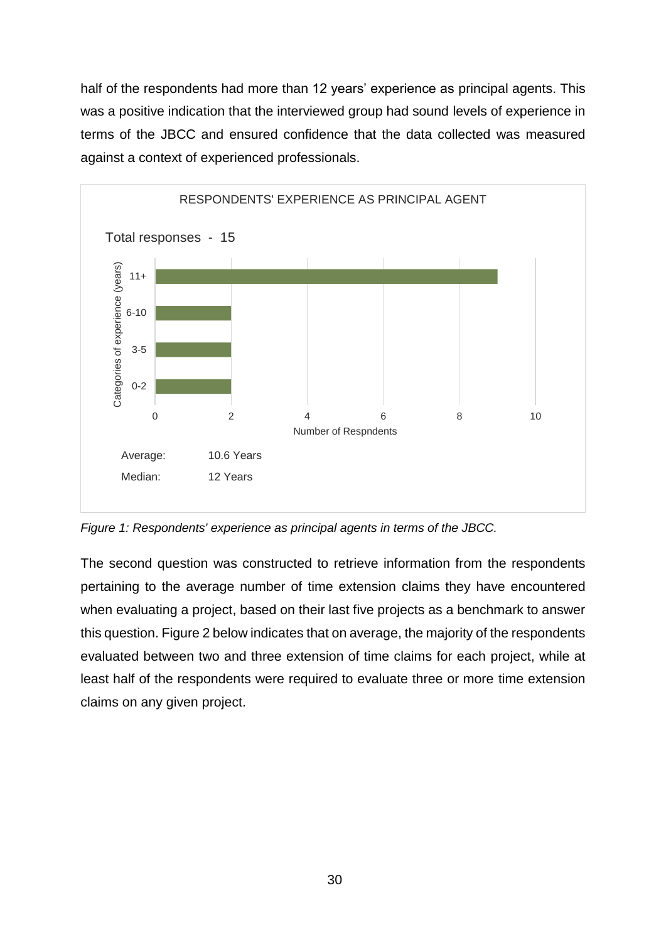half of the respondents had more than 12 years' experience as principal agents. This was a positive indication that the interviewed group had sound levels of experience in terms of the JBCC and ensured confidence that the data collected was measured against a context of experienced professionals.



*Figure 1: Respondents' experience as principal agents in terms of the JBCC.*

The second question was constructed to retrieve information from the respondents pertaining to the average number of time extension claims they have encountered when evaluating a project, based on their last five projects as a benchmark to answer this question. Figure 2 below indicates that on average, the majority of the respondents evaluated between two and three extension of time claims for each project, while at least half of the respondents were required to evaluate three or more time extension claims on any given project.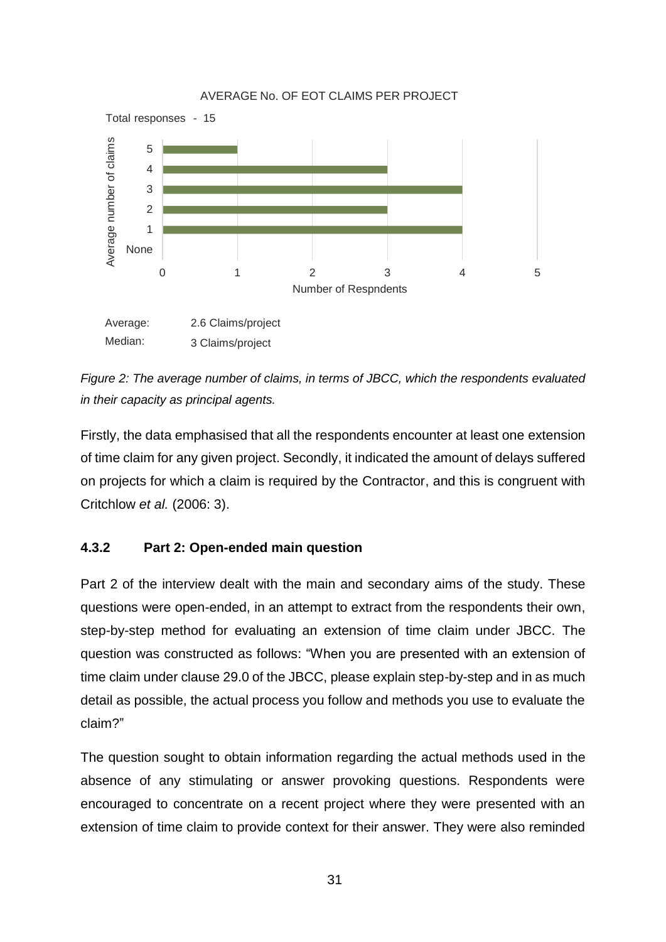

*Figure 2: The average number of claims, in terms of JBCC, which the respondents evaluated in their capacity as principal agents.*

Firstly, the data emphasised that all the respondents encounter at least one extension of time claim for any given project. Secondly, it indicated the amount of delays suffered on projects for which a claim is required by the Contractor, and this is congruent with Critchlow *et al.* (2006: 3).

#### **4.3.2 Part 2: Open-ended main question**

Part 2 of the interview dealt with the main and secondary aims of the study. These questions were open-ended, in an attempt to extract from the respondents their own, step-by-step method for evaluating an extension of time claim under JBCC. The question was constructed as follows: "When you are presented with an extension of time claim under clause 29.0 of the JBCC, please explain step-by-step and in as much detail as possible, the actual process you follow and methods you use to evaluate the claim?"

The question sought to obtain information regarding the actual methods used in the absence of any stimulating or answer provoking questions. Respondents were encouraged to concentrate on a recent project where they were presented with an extension of time claim to provide context for their answer. They were also reminded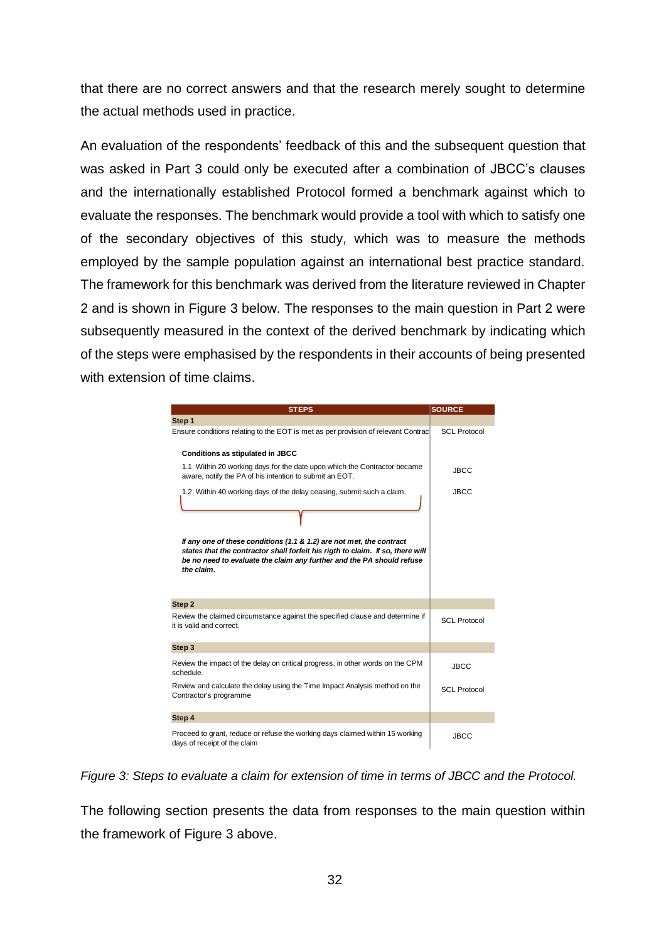that there are no correct answers and that the research merely sought to determine the actual methods used in practice.

An evaluation of the respondents' feedback of this and the subsequent question that was asked in Part 3 could only be executed after a combination of JBCC's clauses and the internationally established Protocol formed a benchmark against which to evaluate the responses. The benchmark would provide a tool with which to satisfy one of the secondary objectives of this study, which was to measure the methods employed by the sample population against an international best practice standard. The framework for this benchmark was derived from the literature reviewed in Chapter 2 and is shown in Figure 3 below. The responses to the main question in Part 2 were subsequently measured in the context of the derived benchmark by indicating which of the steps were emphasised by the respondents in their accounts of being presented with extension of time claims.

| <b>STEPS</b>                                                                                                                                                                                                                                  | <b>SOURCE</b>       |
|-----------------------------------------------------------------------------------------------------------------------------------------------------------------------------------------------------------------------------------------------|---------------------|
| Step 1                                                                                                                                                                                                                                        |                     |
| Ensure conditions relating to the EOT is met as per provision of relevant Contrac                                                                                                                                                             | <b>SCL Protocol</b> |
| <b>Conditions as stipulated in JBCC</b>                                                                                                                                                                                                       |                     |
| 1.1 Within 20 working days for the date upon which the Contractor became<br>aware, notify the PA of his intention to submit an EOT.                                                                                                           | <b>JBCC</b>         |
| 1.2 Within 40 working days of the delay ceasing, submit such a claim.                                                                                                                                                                         | <b>JBCC</b>         |
| If any one of these conditions (1.1 & 1.2) are not met, the contract<br>states that the contractor shall forfeit his rigth to claim. If so, there will<br>be no need to evaluate the claim any further and the PA should refuse<br>the claim. |                     |
| Step 2                                                                                                                                                                                                                                        |                     |
| Review the claimed circumstance against the specified clause and determine if<br>it is valid and correct.                                                                                                                                     | <b>SCL Protocol</b> |
| Step 3                                                                                                                                                                                                                                        |                     |
| Review the impact of the delay on critical progress, in other words on the CPM<br>schedule.                                                                                                                                                   | <b>JBCC</b>         |
| Review and calculate the delay using the Time Impact Analysis method on the<br>Contractor's programme                                                                                                                                         | <b>SCL Protocol</b> |
| Step 4                                                                                                                                                                                                                                        |                     |
| Proceed to grant, reduce or refuse the working days claimed within 15 working<br>days of receipt of the claim                                                                                                                                 | <b>JBCC</b>         |

*Figure 3: Steps to evaluate a claim for extension of time in terms of JBCC and the Protocol.*

The following section presents the data from responses to the main question within the framework of Figure 3 above.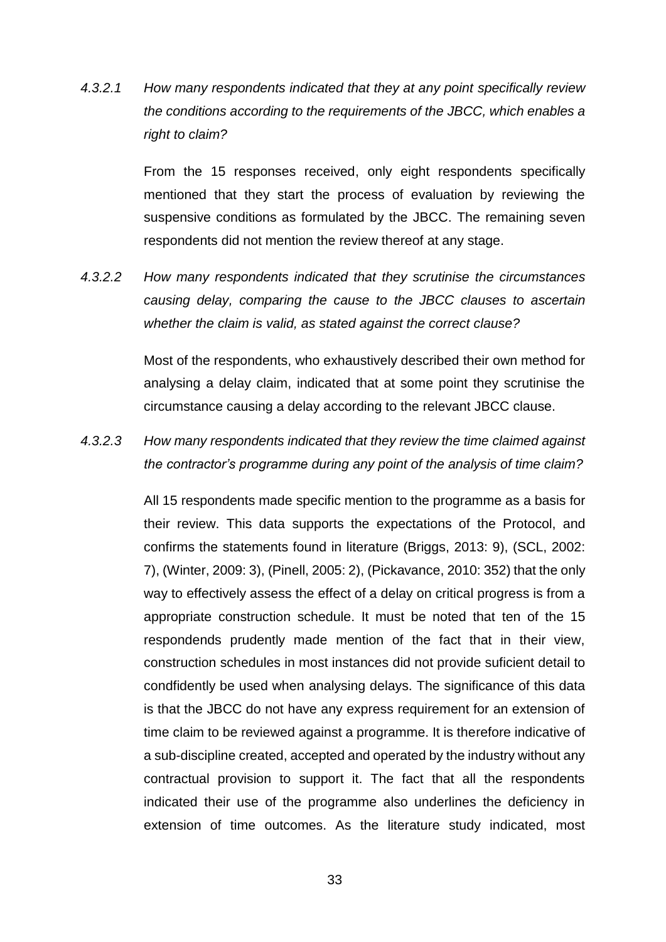*4.3.2.1 How many respondents indicated that they at any point specifically review the conditions according to the requirements of the JBCC, which enables a right to claim?*

> From the 15 responses received, only eight respondents specifically mentioned that they start the process of evaluation by reviewing the suspensive conditions as formulated by the JBCC. The remaining seven respondents did not mention the review thereof at any stage.

*4.3.2.2 How many respondents indicated that they scrutinise the circumstances causing delay, comparing the cause to the JBCC clauses to ascertain whether the claim is valid, as stated against the correct clause?*

> Most of the respondents, who exhaustively described their own method for analysing a delay claim, indicated that at some point they scrutinise the circumstance causing a delay according to the relevant JBCC clause.

*4.3.2.3 How many respondents indicated that they review the time claimed against the contractor's programme during any point of the analysis of time claim?*

> All 15 respondents made specific mention to the programme as a basis for their review. This data supports the expectations of the Protocol, and confirms the statements found in literature (Briggs, 2013: 9), (SCL, 2002: 7), (Winter, 2009: 3), (Pinell, 2005: 2), (Pickavance, 2010: 352) that the only way to effectively assess the effect of a delay on critical progress is from a appropriate construction schedule. It must be noted that ten of the 15 respondends prudently made mention of the fact that in their view, construction schedules in most instances did not provide suficient detail to condfidently be used when analysing delays. The significance of this data is that the JBCC do not have any express requirement for an extension of time claim to be reviewed against a programme. It is therefore indicative of a sub-discipline created, accepted and operated by the industry without any contractual provision to support it. The fact that all the respondents indicated their use of the programme also underlines the deficiency in extension of time outcomes. As the literature study indicated, most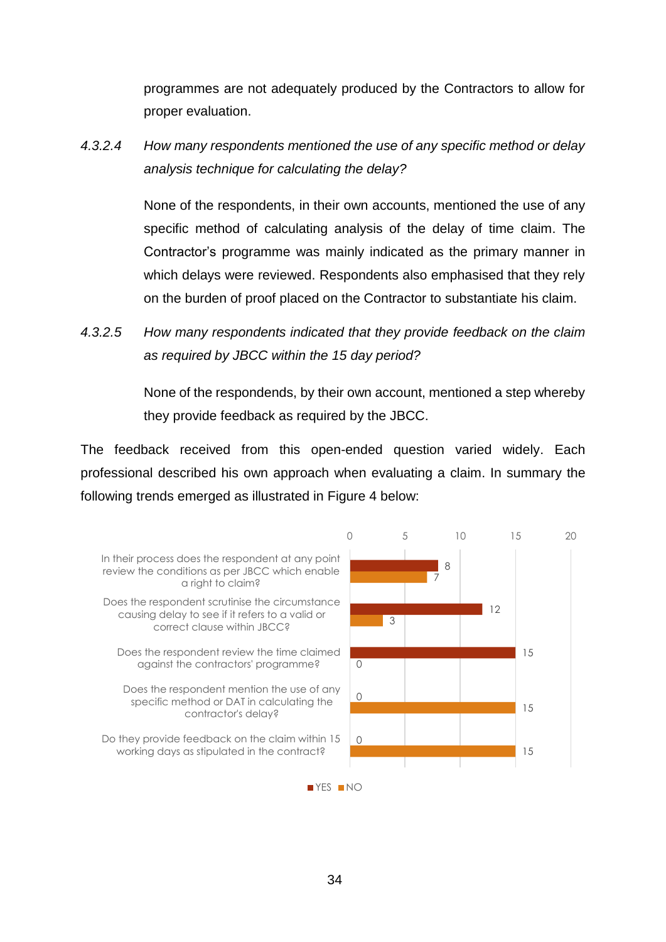programmes are not adequately produced by the Contractors to allow for proper evaluation.

*4.3.2.4 How many respondents mentioned the use of any specific method or delay analysis technique for calculating the delay?*

> None of the respondents, in their own accounts, mentioned the use of any specific method of calculating analysis of the delay of time claim. The Contractor's programme was mainly indicated as the primary manner in which delays were reviewed. Respondents also emphasised that they rely on the burden of proof placed on the Contractor to substantiate his claim.

*4.3.2.5 How many respondents indicated that they provide feedback on the claim as required by JBCC within the 15 day period?*

> None of the respondends, by their own account, mentioned a step whereby they provide feedback as required by the JBCC.

The feedback received from this open-ended question varied widely. Each professional described his own approach when evaluating a claim. In summary the following trends emerged as illustrated in Figure 4 below:

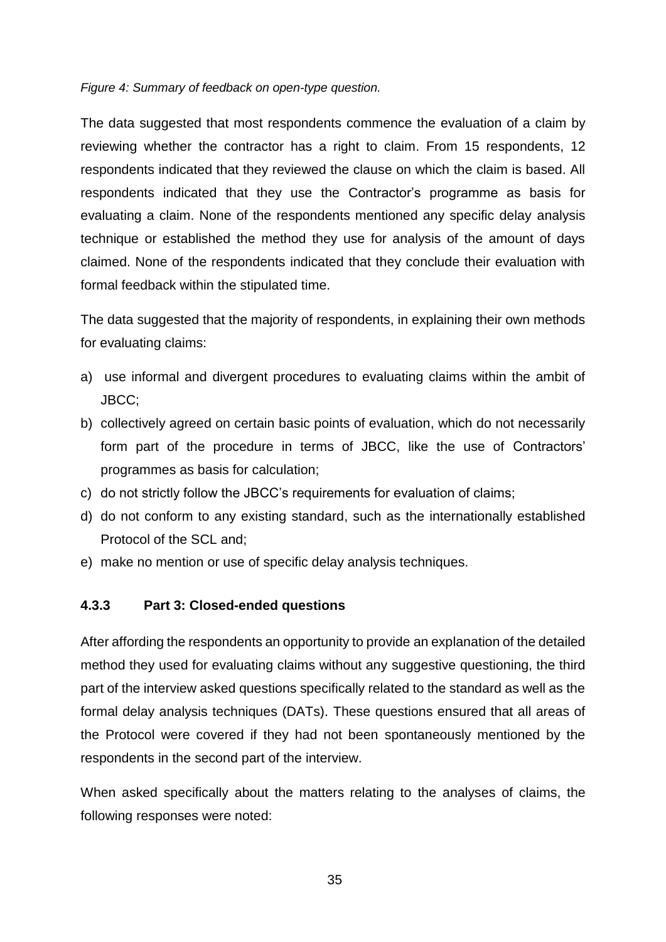#### *Figure 4: Summary of feedback on open-type question.*

The data suggested that most respondents commence the evaluation of a claim by reviewing whether the contractor has a right to claim. From 15 respondents, 12 respondents indicated that they reviewed the clause on which the claim is based. All respondents indicated that they use the Contractor's programme as basis for evaluating a claim. None of the respondents mentioned any specific delay analysis technique or established the method they use for analysis of the amount of days claimed. None of the respondents indicated that they conclude their evaluation with formal feedback within the stipulated time.

The data suggested that the majority of respondents, in explaining their own methods for evaluating claims:

- a) use informal and divergent procedures to evaluating claims within the ambit of JBCC;
- b) collectively agreed on certain basic points of evaluation, which do not necessarily form part of the procedure in terms of JBCC, like the use of Contractors' programmes as basis for calculation;
- c) do not strictly follow the JBCC's requirements for evaluation of claims;
- d) do not conform to any existing standard, such as the internationally established Protocol of the SCL and;
- e) make no mention or use of specific delay analysis techniques.

#### **4.3.3 Part 3: Closed-ended questions**

After affording the respondents an opportunity to provide an explanation of the detailed method they used for evaluating claims without any suggestive questioning, the third part of the interview asked questions specifically related to the standard as well as the formal delay analysis techniques (DATs). These questions ensured that all areas of the Protocol were covered if they had not been spontaneously mentioned by the respondents in the second part of the interview.

When asked specifically about the matters relating to the analyses of claims, the following responses were noted: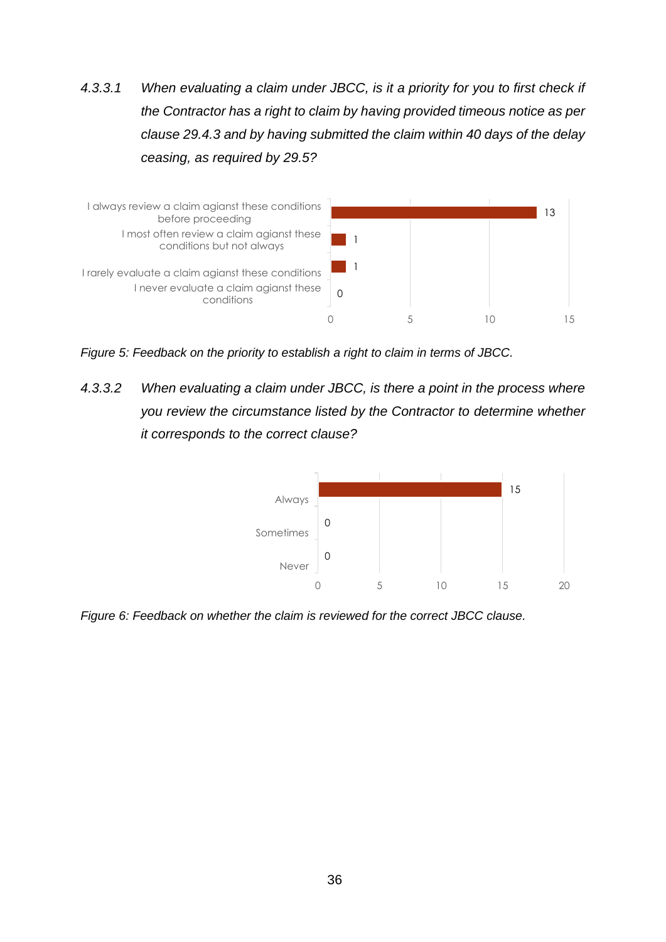*4.3.3.1 When evaluating a claim under JBCC, is it a priority for you to first check if the Contractor has a right to claim by having provided timeous notice as per clause 29.4.3 and by having submitted the claim within 40 days of the delay ceasing, as required by 29.5?*



*Figure 5: Feedback on the priority to establish a right to claim in terms of JBCC.*

*4.3.3.2 When evaluating a claim under JBCC, is there a point in the process where you review the circumstance listed by the Contractor to determine whether it corresponds to the correct clause?*



*Figure 6: Feedback on whether the claim is reviewed for the correct JBCC clause.*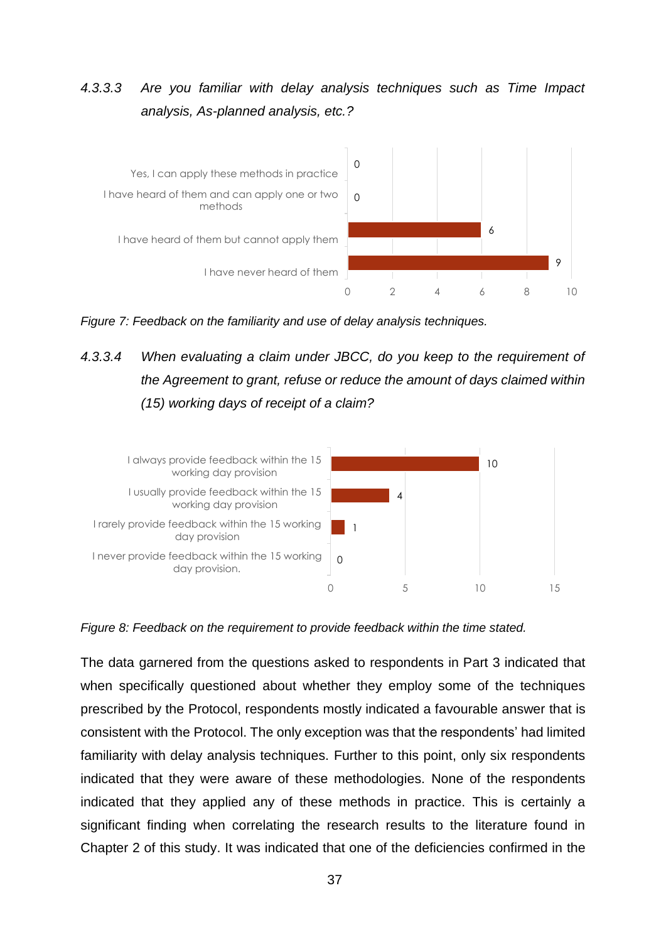## *4.3.3.3 Are you familiar with delay analysis techniques such as Time Impact analysis, As-planned analysis, etc.?*



*Figure 7: Feedback on the familiarity and use of delay analysis techniques.*

# *4.3.3.4 When evaluating a claim under JBCC, do you keep to the requirement of the Agreement to grant, refuse or reduce the amount of days claimed within (15) working days of receipt of a claim?*



*Figure 8: Feedback on the requirement to provide feedback within the time stated.*

The data garnered from the questions asked to respondents in Part 3 indicated that when specifically questioned about whether they employ some of the techniques prescribed by the Protocol, respondents mostly indicated a favourable answer that is consistent with the Protocol. The only exception was that the respondents' had limited familiarity with delay analysis techniques. Further to this point, only six respondents indicated that they were aware of these methodologies. None of the respondents indicated that they applied any of these methods in practice. This is certainly a significant finding when correlating the research results to the literature found in Chapter 2 of this study. It was indicated that one of the deficiencies confirmed in the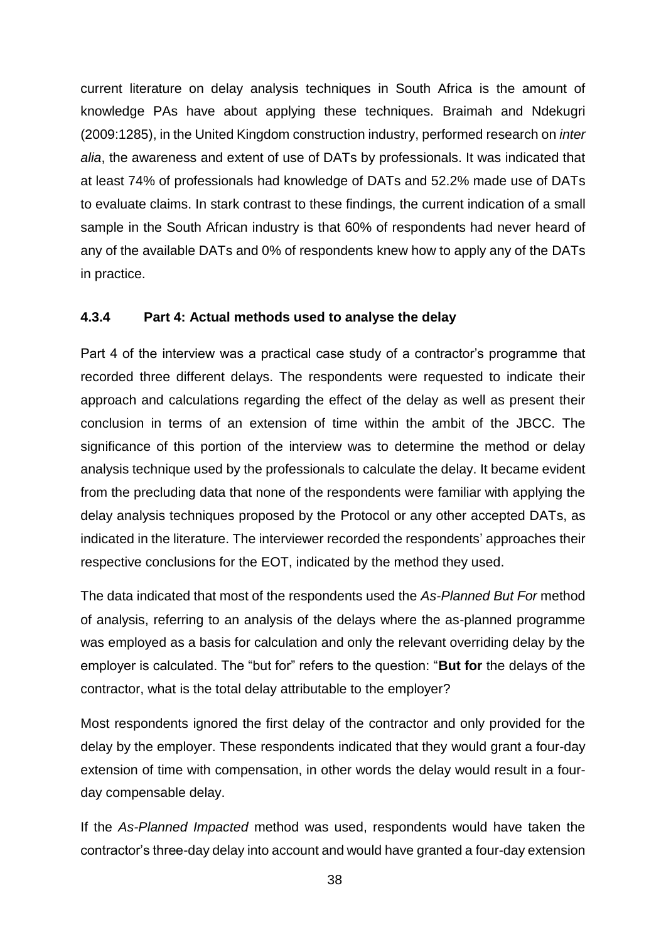current literature on delay analysis techniques in South Africa is the amount of knowledge PAs have about applying these techniques. Braimah and Ndekugri (2009:1285), in the United Kingdom construction industry, performed research on *inter alia*, the awareness and extent of use of DATs by professionals. It was indicated that at least 74% of professionals had knowledge of DATs and 52.2% made use of DATs to evaluate claims. In stark contrast to these findings, the current indication of a small sample in the South African industry is that 60% of respondents had never heard of any of the available DATs and 0% of respondents knew how to apply any of the DATs in practice.

#### **4.3.4 Part 4: Actual methods used to analyse the delay**

Part 4 of the interview was a practical case study of a contractor's programme that recorded three different delays. The respondents were requested to indicate their approach and calculations regarding the effect of the delay as well as present their conclusion in terms of an extension of time within the ambit of the JBCC. The significance of this portion of the interview was to determine the method or delay analysis technique used by the professionals to calculate the delay. It became evident from the precluding data that none of the respondents were familiar with applying the delay analysis techniques proposed by the Protocol or any other accepted DATs, as indicated in the literature. The interviewer recorded the respondents' approaches their respective conclusions for the EOT, indicated by the method they used.

The data indicated that most of the respondents used the *As-Planned But For* method of analysis, referring to an analysis of the delays where the as-planned programme was employed as a basis for calculation and only the relevant overriding delay by the employer is calculated. The "but for" refers to the question: "**But for** the delays of the contractor, what is the total delay attributable to the employer?

Most respondents ignored the first delay of the contractor and only provided for the delay by the employer. These respondents indicated that they would grant a four-day extension of time with compensation, in other words the delay would result in a fourday compensable delay.

If the *As-Planned Impacted* method was used, respondents would have taken the contractor's three-day delay into account and would have granted a four-day extension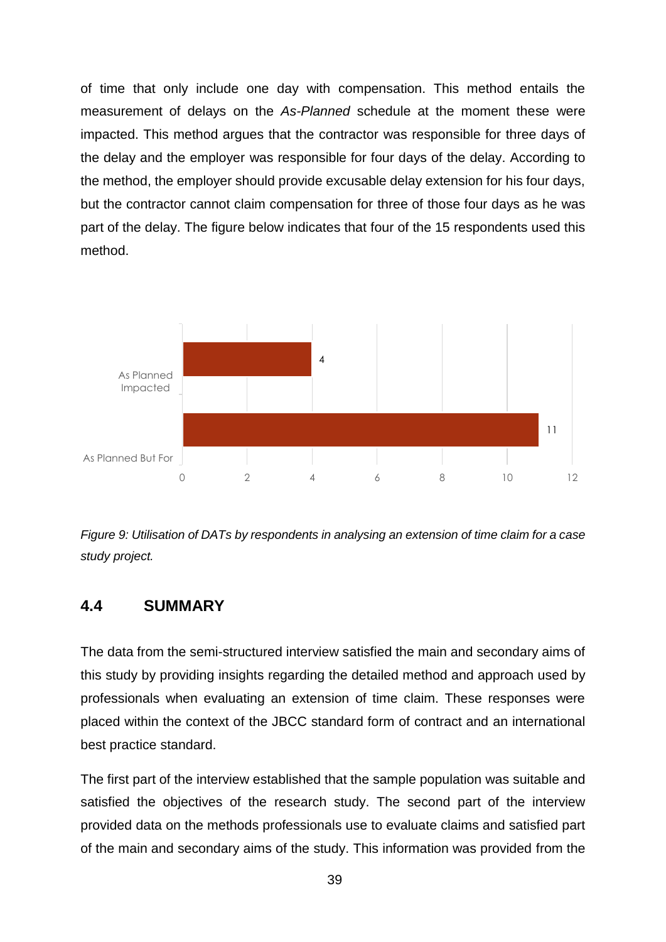of time that only include one day with compensation. This method entails the measurement of delays on the *As-Planned* schedule at the moment these were impacted. This method argues that the contractor was responsible for three days of the delay and the employer was responsible for four days of the delay. According to the method, the employer should provide excusable delay extension for his four days, but the contractor cannot claim compensation for three of those four days as he was part of the delay. The figure below indicates that four of the 15 respondents used this method.



*Figure 9: Utilisation of DATs by respondents in analysing an extension of time claim for a case study project.*

#### **4.4 SUMMARY**

The data from the semi-structured interview satisfied the main and secondary aims of this study by providing insights regarding the detailed method and approach used by professionals when evaluating an extension of time claim. These responses were placed within the context of the JBCC standard form of contract and an international best practice standard.

The first part of the interview established that the sample population was suitable and satisfied the objectives of the research study. The second part of the interview provided data on the methods professionals use to evaluate claims and satisfied part of the main and secondary aims of the study. This information was provided from the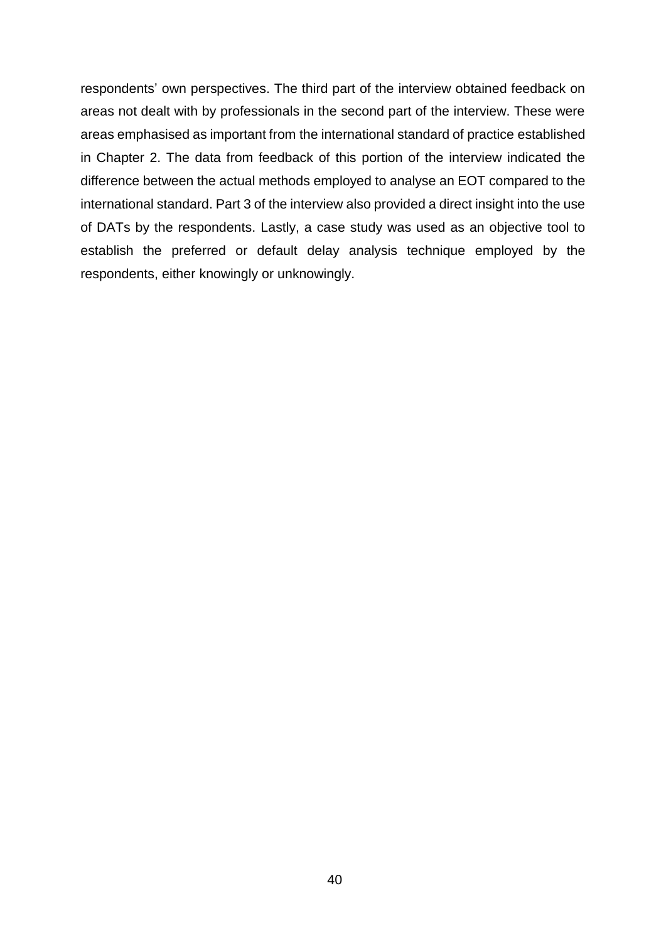respondents' own perspectives. The third part of the interview obtained feedback on areas not dealt with by professionals in the second part of the interview. These were areas emphasised as important from the international standard of practice established in Chapter 2. The data from feedback of this portion of the interview indicated the difference between the actual methods employed to analyse an EOT compared to the international standard. Part 3 of the interview also provided a direct insight into the use of DATs by the respondents. Lastly, a case study was used as an objective tool to establish the preferred or default delay analysis technique employed by the respondents, either knowingly or unknowingly.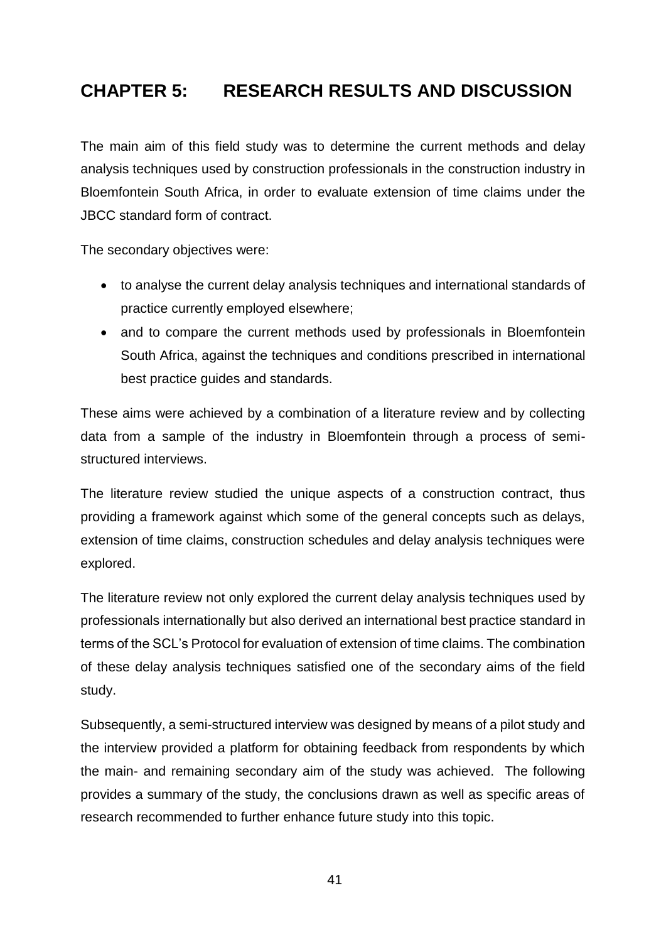# **CHAPTER 5: RESEARCH RESULTS AND DISCUSSION**

The main aim of this field study was to determine the current methods and delay analysis techniques used by construction professionals in the construction industry in Bloemfontein South Africa, in order to evaluate extension of time claims under the JBCC standard form of contract.

The secondary objectives were:

- to analyse the current delay analysis techniques and international standards of practice currently employed elsewhere;
- and to compare the current methods used by professionals in Bloemfontein South Africa, against the techniques and conditions prescribed in international best practice guides and standards.

These aims were achieved by a combination of a literature review and by collecting data from a sample of the industry in Bloemfontein through a process of semistructured interviews.

The literature review studied the unique aspects of a construction contract, thus providing a framework against which some of the general concepts such as delays, extension of time claims, construction schedules and delay analysis techniques were explored.

The literature review not only explored the current delay analysis techniques used by professionals internationally but also derived an international best practice standard in terms of the SCL's Protocol for evaluation of extension of time claims. The combination of these delay analysis techniques satisfied one of the secondary aims of the field study.

Subsequently, a semi-structured interview was designed by means of a pilot study and the interview provided a platform for obtaining feedback from respondents by which the main- and remaining secondary aim of the study was achieved. The following provides a summary of the study, the conclusions drawn as well as specific areas of research recommended to further enhance future study into this topic.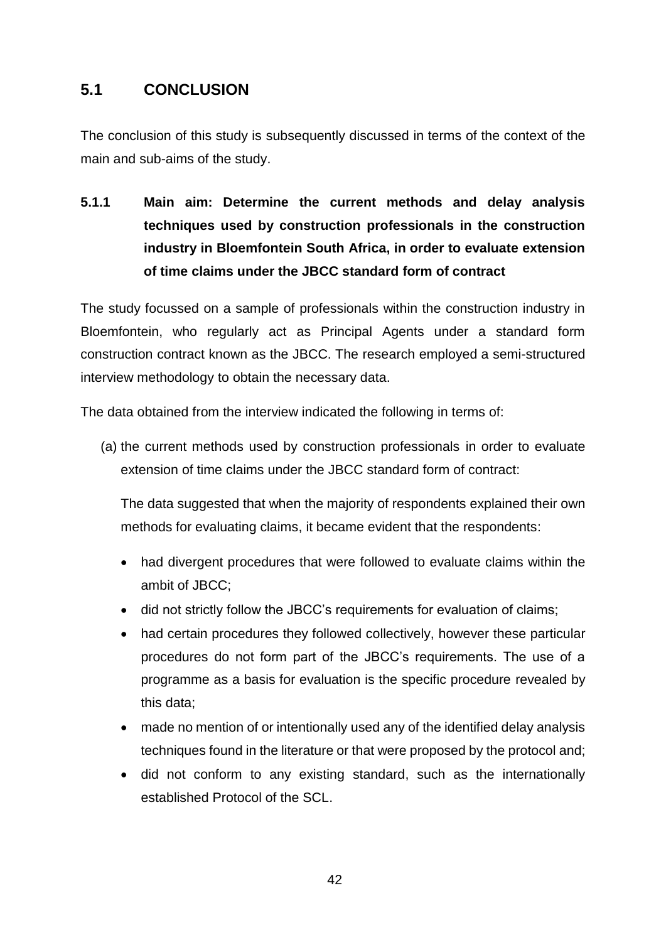## **5.1 CONCLUSION**

The conclusion of this study is subsequently discussed in terms of the context of the main and sub-aims of the study.

**5.1.1 Main aim: Determine the current methods and delay analysis techniques used by construction professionals in the construction industry in Bloemfontein South Africa, in order to evaluate extension of time claims under the JBCC standard form of contract**

The study focussed on a sample of professionals within the construction industry in Bloemfontein, who regularly act as Principal Agents under a standard form construction contract known as the JBCC. The research employed a semi-structured interview methodology to obtain the necessary data.

The data obtained from the interview indicated the following in terms of:

(a) the current methods used by construction professionals in order to evaluate extension of time claims under the JBCC standard form of contract:

The data suggested that when the majority of respondents explained their own methods for evaluating claims, it became evident that the respondents:

- had divergent procedures that were followed to evaluate claims within the ambit of JBCC;
- did not strictly follow the JBCC's requirements for evaluation of claims;
- had certain procedures they followed collectively, however these particular procedures do not form part of the JBCC's requirements. The use of a programme as a basis for evaluation is the specific procedure revealed by this data;
- made no mention of or intentionally used any of the identified delay analysis techniques found in the literature or that were proposed by the protocol and;
- did not conform to any existing standard, such as the internationally established Protocol of the SCL.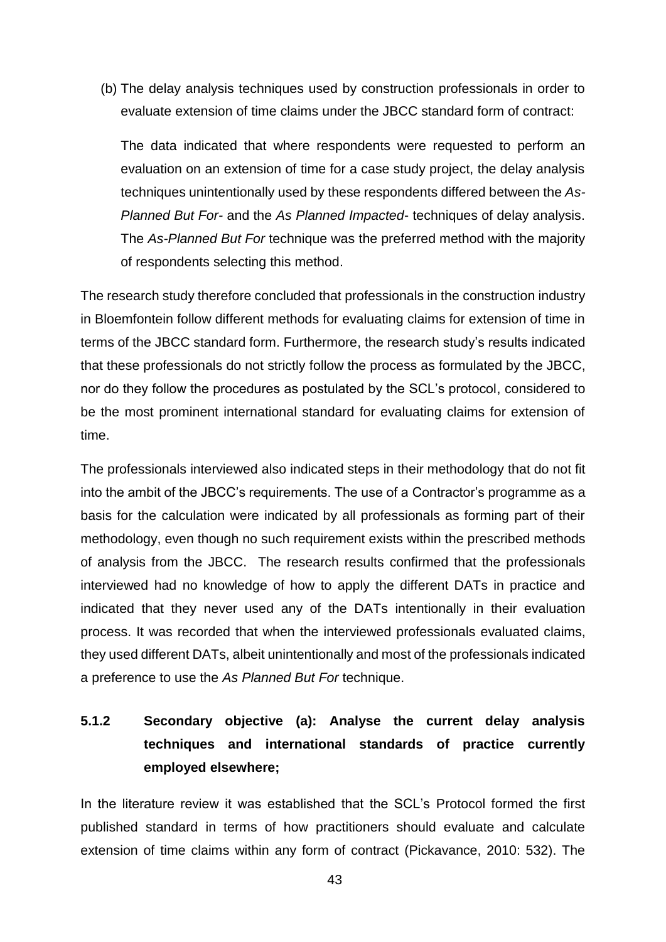(b) The delay analysis techniques used by construction professionals in order to evaluate extension of time claims under the JBCC standard form of contract:

The data indicated that where respondents were requested to perform an evaluation on an extension of time for a case study project, the delay analysis techniques unintentionally used by these respondents differed between the *As-Planned But For-* and the *As Planned Impacted*- techniques of delay analysis. The *As-Planned But For* technique was the preferred method with the majority of respondents selecting this method.

The research study therefore concluded that professionals in the construction industry in Bloemfontein follow different methods for evaluating claims for extension of time in terms of the JBCC standard form. Furthermore, the research study's results indicated that these professionals do not strictly follow the process as formulated by the JBCC, nor do they follow the procedures as postulated by the SCL's protocol, considered to be the most prominent international standard for evaluating claims for extension of time.

The professionals interviewed also indicated steps in their methodology that do not fit into the ambit of the JBCC's requirements. The use of a Contractor's programme as a basis for the calculation were indicated by all professionals as forming part of their methodology, even though no such requirement exists within the prescribed methods of analysis from the JBCC. The research results confirmed that the professionals interviewed had no knowledge of how to apply the different DATs in practice and indicated that they never used any of the DATs intentionally in their evaluation process. It was recorded that when the interviewed professionals evaluated claims, they used different DATs, albeit unintentionally and most of the professionals indicated a preference to use the *As Planned But For* technique.

# **5.1.2 Secondary objective (a): Analyse the current delay analysis techniques and international standards of practice currently employed elsewhere;**

In the literature review it was established that the SCL's Protocol formed the first published standard in terms of how practitioners should evaluate and calculate extension of time claims within any form of contract (Pickavance, 2010: 532). The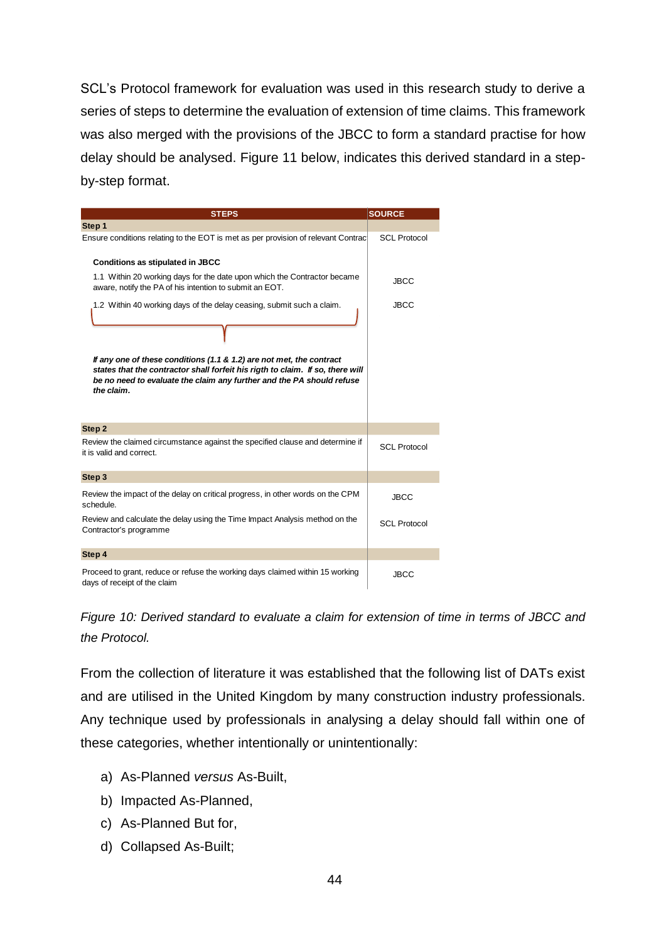SCL's Protocol framework for evaluation was used in this research study to derive a series of steps to determine the evaluation of extension of time claims. This framework was also merged with the provisions of the JBCC to form a standard practise for how delay should be analysed. Figure 11 below, indicates this derived standard in a stepby-step format.

| <b>STEPS</b>                                                                                                                                                                                                                                  | <b>SOURCE</b>       |
|-----------------------------------------------------------------------------------------------------------------------------------------------------------------------------------------------------------------------------------------------|---------------------|
| Step 1                                                                                                                                                                                                                                        |                     |
| Ensure conditions relating to the EOT is met as per provision of relevant Contract                                                                                                                                                            | <b>SCL Protocol</b> |
| <b>Conditions as stipulated in JBCC</b>                                                                                                                                                                                                       |                     |
| 1.1 Within 20 working days for the date upon which the Contractor became<br>aware, notify the PA of his intention to submit an EOT.                                                                                                           | <b>JBCC</b>         |
| 1.2 Within 40 working days of the delay ceasing, submit such a claim.                                                                                                                                                                         | <b>JBCC</b>         |
|                                                                                                                                                                                                                                               |                     |
| If any one of these conditions (1.1 & 1.2) are not met, the contract<br>states that the contractor shall forfeit his rigth to claim. If so, there will<br>be no need to evaluate the claim any further and the PA should refuse<br>the claim. |                     |
| Step 2                                                                                                                                                                                                                                        |                     |
| Review the claimed circumstance against the specified clause and determine if<br>it is valid and correct.                                                                                                                                     | <b>SCL Protocol</b> |
| Step 3                                                                                                                                                                                                                                        |                     |
| Review the impact of the delay on critical progress, in other words on the CPM<br>schedule.                                                                                                                                                   | <b>JBCC</b>         |
| Review and calculate the delay using the Time Impact Analysis method on the<br>Contractor's programme                                                                                                                                         | <b>SCL Protocol</b> |
| Step 4                                                                                                                                                                                                                                        |                     |
| Proceed to grant, reduce or refuse the working days claimed within 15 working<br>days of receipt of the claim                                                                                                                                 | <b>JBCC</b>         |

*Figure 10: Derived standard to evaluate a claim for extension of time in terms of JBCC and the Protocol.*

From the collection of literature it was established that the following list of DATs exist and are utilised in the United Kingdom by many construction industry professionals. Any technique used by professionals in analysing a delay should fall within one of these categories, whether intentionally or unintentionally:

- a) As-Planned *versus* As-Built,
- b) Impacted As-Planned,
- c) As-Planned But for,
- d) Collapsed As-Built;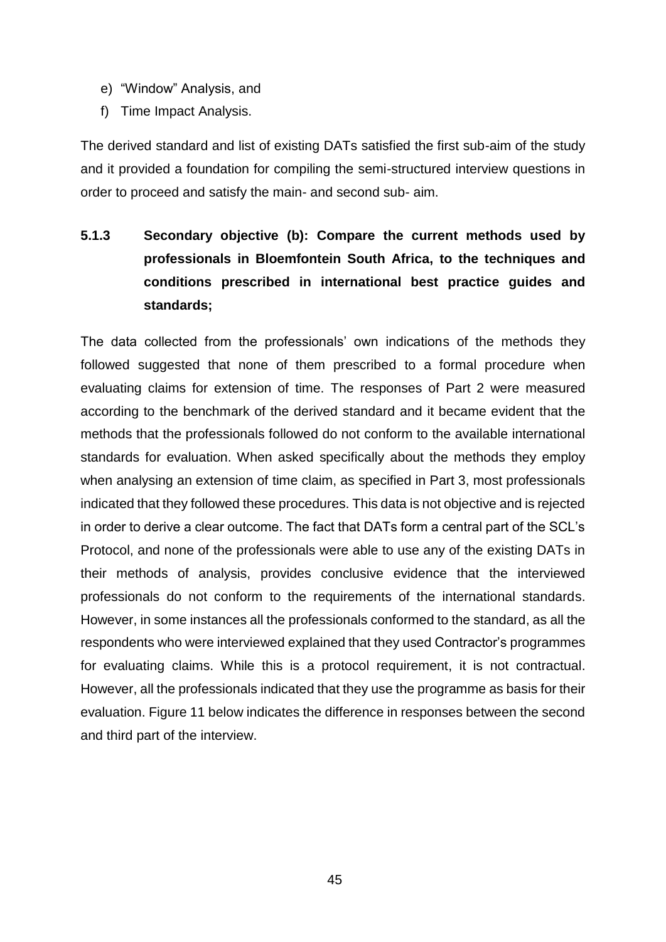- e) "Window" Analysis, and
- f) Time Impact Analysis.

The derived standard and list of existing DATs satisfied the first sub-aim of the study and it provided a foundation for compiling the semi-structured interview questions in order to proceed and satisfy the main- and second sub- aim.

**5.1.3 Secondary objective (b): Compare the current methods used by professionals in Bloemfontein South Africa, to the techniques and conditions prescribed in international best practice guides and standards;**

The data collected from the professionals' own indications of the methods they followed suggested that none of them prescribed to a formal procedure when evaluating claims for extension of time. The responses of Part 2 were measured according to the benchmark of the derived standard and it became evident that the methods that the professionals followed do not conform to the available international standards for evaluation. When asked specifically about the methods they employ when analysing an extension of time claim, as specified in Part 3, most professionals indicated that they followed these procedures. This data is not objective and is rejected in order to derive a clear outcome. The fact that DATs form a central part of the SCL's Protocol, and none of the professionals were able to use any of the existing DATs in their methods of analysis, provides conclusive evidence that the interviewed professionals do not conform to the requirements of the international standards. However, in some instances all the professionals conformed to the standard, as all the respondents who were interviewed explained that they used Contractor's programmes for evaluating claims. While this is a protocol requirement, it is not contractual. However, all the professionals indicated that they use the programme as basis for their evaluation. Figure 11 below indicates the difference in responses between the second and third part of the interview.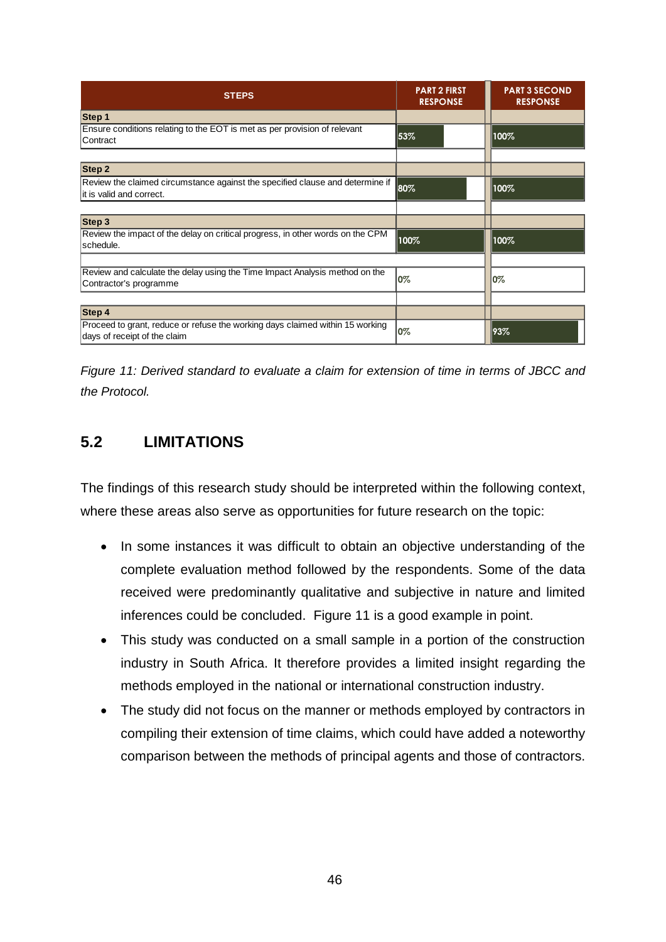| <b>STEPS</b>                                                                                                  | <b>PART 2 FIRST</b><br><b>RESPONSE</b> | <b>PART 3 SECOND</b><br><b>RESPONSE</b> |
|---------------------------------------------------------------------------------------------------------------|----------------------------------------|-----------------------------------------|
| Step 1                                                                                                        |                                        |                                         |
| Ensure conditions relating to the EOT is met as per provision of relevant<br>Contract                         | 53%                                    | 100%                                    |
| Step 2                                                                                                        |                                        |                                         |
| Review the claimed circumstance against the specified clause and determine if<br>it is valid and correct.     | 80%                                    | 100%                                    |
|                                                                                                               |                                        |                                         |
| Step 3                                                                                                        |                                        |                                         |
| Review the impact of the delay on critical progress, in other words on the CPM<br>İschedule.                  | 100%                                   | 100%                                    |
|                                                                                                               |                                        |                                         |
| Review and calculate the delay using the Time Impact Analysis method on the<br>Contractor's programme         | 0%                                     | 10%                                     |
|                                                                                                               |                                        |                                         |
| Step 4                                                                                                        |                                        |                                         |
| Proceed to grant, reduce or refuse the working days claimed within 15 working<br>days of receipt of the claim | 0%                                     | 193%                                    |

*Figure 11: Derived standard to evaluate a claim for extension of time in terms of JBCC and the Protocol.*

## **5.2 LIMITATIONS**

The findings of this research study should be interpreted within the following context, where these areas also serve as opportunities for future research on the topic:

- In some instances it was difficult to obtain an objective understanding of the complete evaluation method followed by the respondents. Some of the data received were predominantly qualitative and subjective in nature and limited inferences could be concluded. Figure 11 is a good example in point.
- This study was conducted on a small sample in a portion of the construction industry in South Africa. It therefore provides a limited insight regarding the methods employed in the national or international construction industry.
- The study did not focus on the manner or methods employed by contractors in compiling their extension of time claims, which could have added a noteworthy comparison between the methods of principal agents and those of contractors.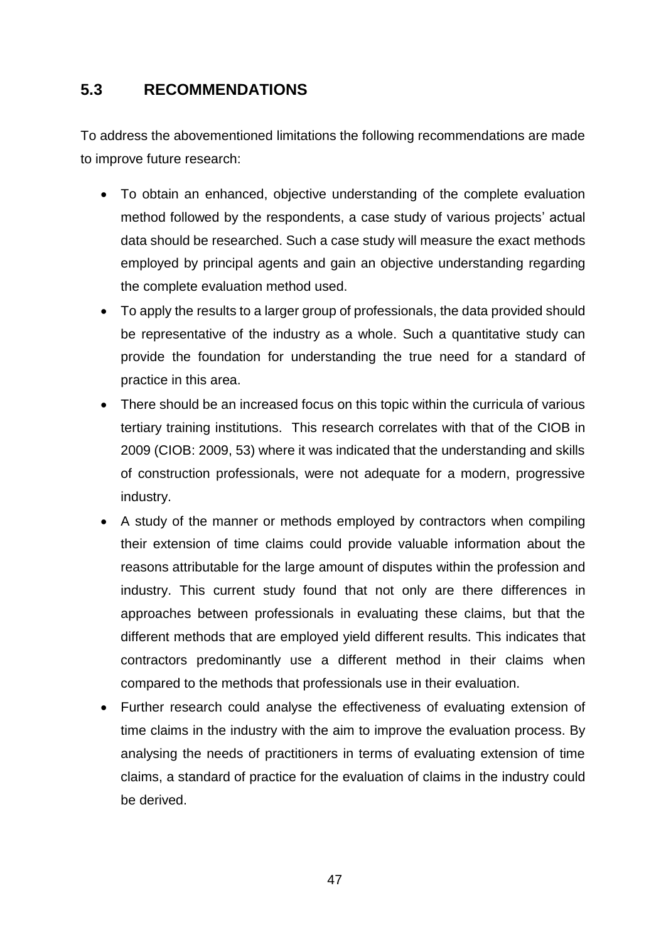## **5.3 RECOMMENDATIONS**

To address the abovementioned limitations the following recommendations are made to improve future research:

- To obtain an enhanced, objective understanding of the complete evaluation method followed by the respondents, a case study of various projects' actual data should be researched. Such a case study will measure the exact methods employed by principal agents and gain an objective understanding regarding the complete evaluation method used.
- To apply the results to a larger group of professionals, the data provided should be representative of the industry as a whole. Such a quantitative study can provide the foundation for understanding the true need for a standard of practice in this area.
- There should be an increased focus on this topic within the curricula of various tertiary training institutions. This research correlates with that of the CIOB in 2009 (CIOB: 2009, 53) where it was indicated that the understanding and skills of construction professionals, were not adequate for a modern, progressive industry.
- A study of the manner or methods employed by contractors when compiling their extension of time claims could provide valuable information about the reasons attributable for the large amount of disputes within the profession and industry. This current study found that not only are there differences in approaches between professionals in evaluating these claims, but that the different methods that are employed yield different results. This indicates that contractors predominantly use a different method in their claims when compared to the methods that professionals use in their evaluation.
- Further research could analyse the effectiveness of evaluating extension of time claims in the industry with the aim to improve the evaluation process. By analysing the needs of practitioners in terms of evaluating extension of time claims, a standard of practice for the evaluation of claims in the industry could be derived.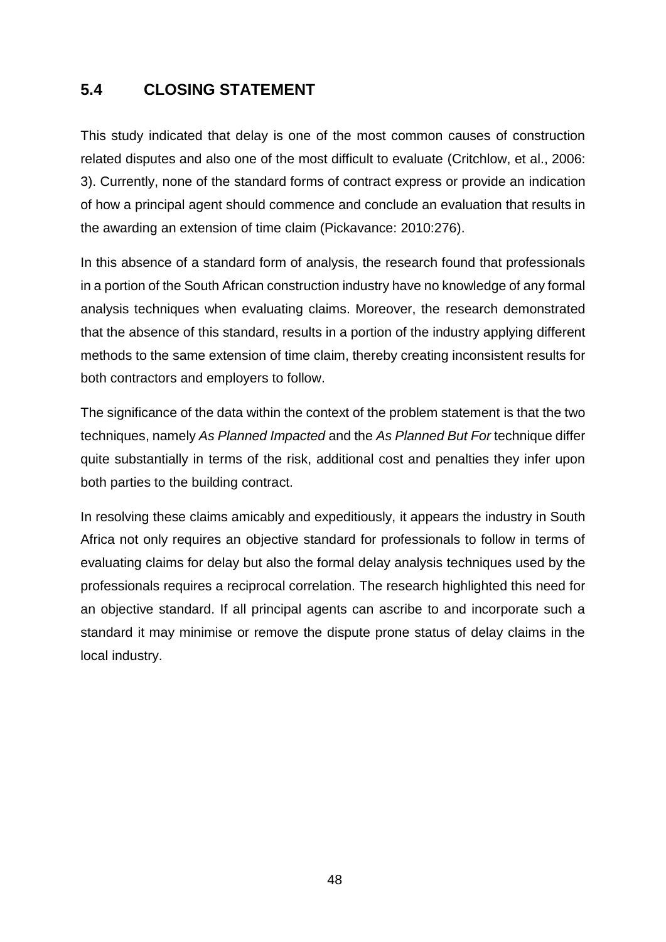## **5.4 CLOSING STATEMENT**

This study indicated that delay is one of the most common causes of construction related disputes and also one of the most difficult to evaluate (Critchlow, et al., 2006: 3). Currently, none of the standard forms of contract express or provide an indication of how a principal agent should commence and conclude an evaluation that results in the awarding an extension of time claim (Pickavance: 2010:276).

In this absence of a standard form of analysis, the research found that professionals in a portion of the South African construction industry have no knowledge of any formal analysis techniques when evaluating claims. Moreover, the research demonstrated that the absence of this standard, results in a portion of the industry applying different methods to the same extension of time claim, thereby creating inconsistent results for both contractors and employers to follow.

The significance of the data within the context of the problem statement is that the two techniques, namely *As Planned Impacted* and the *As Planned But For* technique differ quite substantially in terms of the risk, additional cost and penalties they infer upon both parties to the building contract.

In resolving these claims amicably and expeditiously, it appears the industry in South Africa not only requires an objective standard for professionals to follow in terms of evaluating claims for delay but also the formal delay analysis techniques used by the professionals requires a reciprocal correlation. The research highlighted this need for an objective standard. If all principal agents can ascribe to and incorporate such a standard it may minimise or remove the dispute prone status of delay claims in the local industry.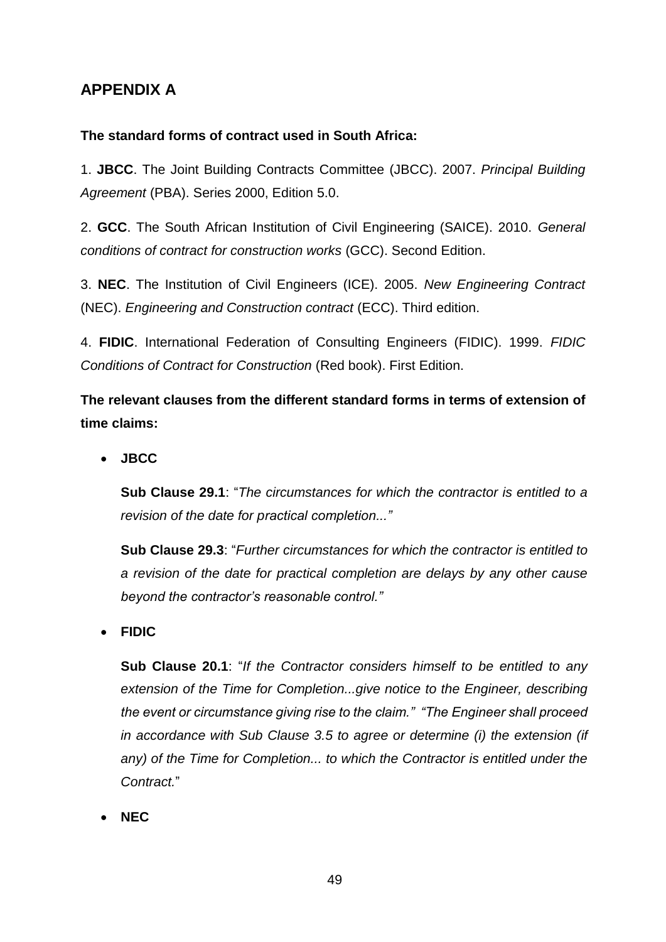## **APPENDIX A**

#### **The standard forms of contract used in South Africa:**

1. **JBCC**. The Joint Building Contracts Committee (JBCC). 2007. *Principal Building Agreement* (PBA). Series 2000, Edition 5.0.

2. **GCC**. The South African Institution of Civil Engineering (SAICE). 2010. *General conditions of contract for construction works* (GCC). Second Edition.

3. **NEC**. The Institution of Civil Engineers (ICE). 2005. *New Engineering Contract* (NEC). *Engineering and Construction contract* (ECC). Third edition.

4. **FIDIC**. International Federation of Consulting Engineers (FIDIC). 1999. *FIDIC Conditions of Contract for Construction* (Red book). First Edition.

**The relevant clauses from the different standard forms in terms of extension of time claims:**

**JBCC**

**Sub Clause 29.1**: "*The circumstances for which the contractor is entitled to a revision of the date for practical completion..."*

**Sub Clause 29.3**: "*Further circumstances for which the contractor is entitled to a revision of the date for practical completion are delays by any other cause beyond the contractor's reasonable control."*

**FIDIC**

**Sub Clause 20.1**: "*If the Contractor considers himself to be entitled to any extension of the Time for Completion...give notice to the Engineer, describing the event or circumstance giving rise to the claim." "The Engineer shall proceed in accordance with Sub Clause 3.5 to agree or determine (i) the extension (if*  any) of the Time for Completion... to which the Contractor is entitled under the *Contract.*"

**NEC**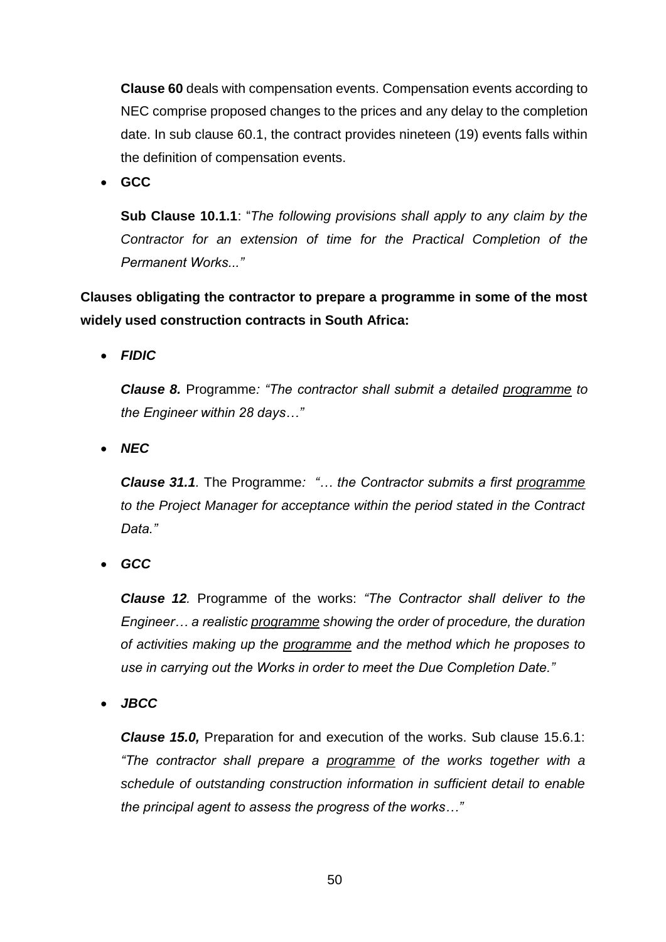**Clause 60** deals with compensation events. Compensation events according to NEC comprise proposed changes to the prices and any delay to the completion date. In sub clause 60.1, the contract provides nineteen (19) events falls within the definition of compensation events.

**GCC**

**Sub Clause 10.1.1**: "*The following provisions shall apply to any claim by the Contractor for an extension of time for the Practical Completion of the Permanent Works..."*

**Clauses obligating the contractor to prepare a programme in some of the most widely used construction contracts in South Africa:**

*FIDIC* 

*Clause 8.* Programme*: "The contractor shall submit a detailed programme to the Engineer within 28 days…"*

*NEC*

*Clause 31.1.* The Programme*: "… the Contractor submits a first programme to the Project Manager for acceptance within the period stated in the Contract Data."*

*GCC* 

*Clause 12.* Programme of the works: *"The Contractor shall deliver to the Engineer… a realistic programme showing the order of procedure, the duration of activities making up the programme and the method which he proposes to use in carrying out the Works in order to meet the Due Completion Date."*

*JBCC* 

*Clause 15.0,* Preparation for and execution of the works. Sub clause 15.6.1: *"The contractor shall prepare a programme of the works together with a schedule of outstanding construction information in sufficient detail to enable the principal agent to assess the progress of the works…"*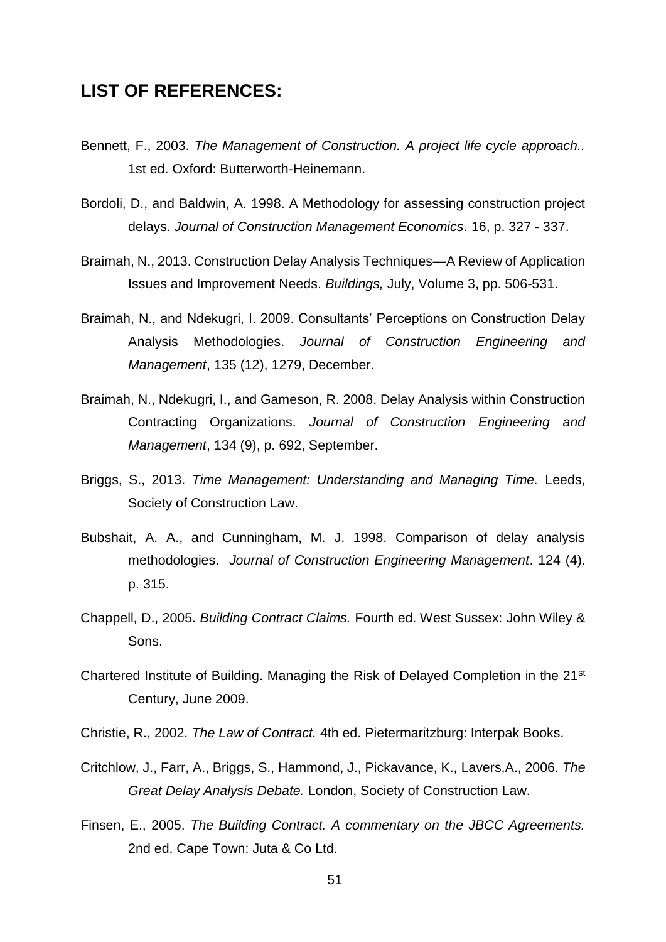### **LIST OF REFERENCES:**

- Bennett, F., 2003. *The Management of Construction. A project life cycle approach..*  1st ed. Oxford: Butterworth-Heinemann.
- Bordoli, D., and Baldwin, A. 1998. A Methodology for assessing construction project delays. *Journal of Construction Management Economics*. 16, p. 327 - 337.
- Braimah, N., 2013. Construction Delay Analysis Techniques—A Review of Application Issues and Improvement Needs. *Buildings,* July, Volume 3, pp. 506-531.
- Braimah, N., and Ndekugri, I. 2009. Consultants' Perceptions on Construction Delay Analysis Methodologies. *Journal of Construction Engineering and Management*, 135 (12), 1279, December.
- Braimah, N., Ndekugri, I., and Gameson, R. 2008. Delay Analysis within Construction Contracting Organizations. *Journal of Construction Engineering and Management*, 134 (9), p. 692, September.
- Briggs, S., 2013. *Time Management: Understanding and Managing Time.* Leeds, Society of Construction Law.
- Bubshait, A. A., and Cunningham, M. J. 1998. Comparison of delay analysis methodologies. *Journal of Construction Engineering Management*. 124 (4). p. 315.
- Chappell, D., 2005. *Building Contract Claims.* Fourth ed. West Sussex: John Wiley & Sons.
- Chartered Institute of Building. Managing the Risk of Delayed Completion in the 21st Century, June 2009.
- Christie, R., 2002. *The Law of Contract.* 4th ed. Pietermaritzburg: Interpak Books.
- Critchlow, J., Farr, A., Briggs, S., Hammond, J., Pickavance, K., Lavers,A., 2006. *The Great Delay Analysis Debate.* London, Society of Construction Law.
- Finsen, E., 2005. *The Building Contract. A commentary on the JBCC Agreements.*  2nd ed. Cape Town: Juta & Co Ltd.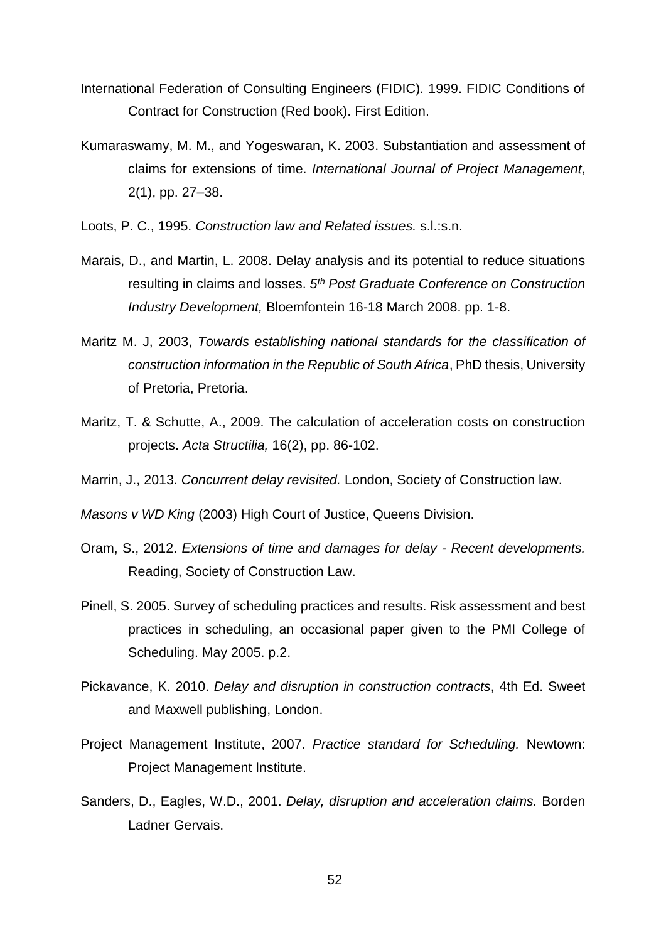- International Federation of Consulting Engineers (FIDIC). 1999. FIDIC Conditions of Contract for Construction (Red book). First Edition.
- Kumaraswamy, M. M., and Yogeswaran, K. 2003. Substantiation and assessment of claims for extensions of time. *International Journal of Project Management*, 2(1), pp. 27–38.
- Loots, P. C., 1995. *Construction law and Related issues.* s.l.:s.n.
- Marais, D., and Martin, L. 2008. Delay analysis and its potential to reduce situations resulting in claims and losses. *5 th Post Graduate Conference on Construction Industry Development,* Bloemfontein 16-18 March 2008. pp. 1-8.
- Maritz M. J, 2003, *Towards establishing national standards for the classification of construction information in the Republic of South Africa*, PhD thesis, University of Pretoria, Pretoria.
- Maritz, T. & Schutte, A., 2009. The calculation of acceleration costs on construction projects. *Acta Structilia,* 16(2), pp. 86-102.
- Marrin, J., 2013. *Concurrent delay revisited.* London, Society of Construction law.

*Masons v WD King* (2003) High Court of Justice, Queens Division.

- Oram, S., 2012. *Extensions of time and damages for delay - Recent developments.*  Reading, Society of Construction Law.
- Pinell, S. 2005. Survey of scheduling practices and results. Risk assessment and best practices in scheduling, an occasional paper given to the PMI College of Scheduling. May 2005. p.2.
- Pickavance, K. 2010. *Delay and disruption in construction contracts*, 4th Ed. Sweet and Maxwell publishing, London.
- Project Management Institute, 2007. *Practice standard for Scheduling.* Newtown: Project Management Institute.
- Sanders, D., Eagles, W.D., 2001. *Delay, disruption and acceleration claims.* Borden Ladner Gervais.